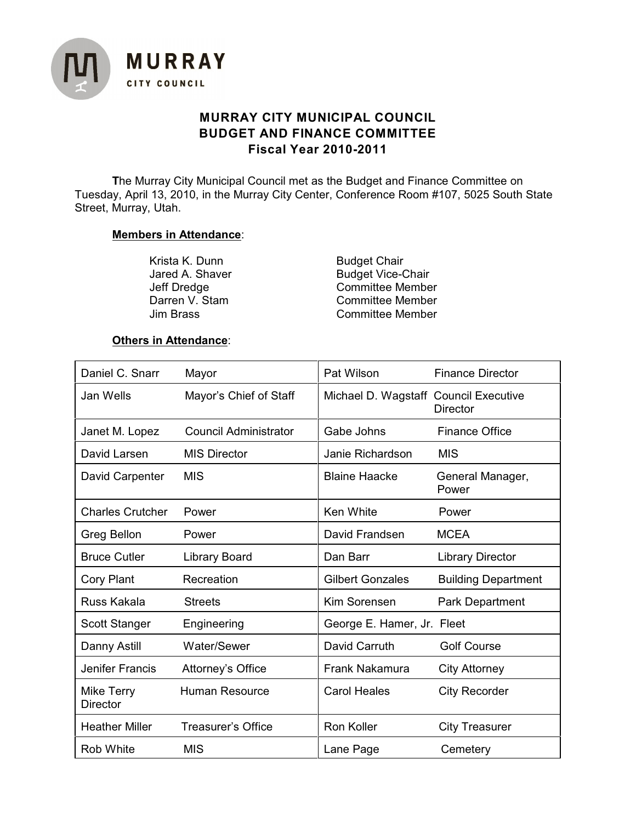

# **MURRAY CITY MUNICIPAL COUNCIL BUDGET AND FINANCE COMMITTEE Fiscal Year 2010-2011**

**T**he Murray City Municipal Council met as the Budget and Finance Committee on Tuesday, April 13, 2010, in the Murray City Center, Conference Room #107, 5025 South State Street, Murray, Utah.

# **Members in Attendance**:

Krista K. Dunn Budget Chair<br>
Jared A. Shaver Budget Vice-C

Jared A. Shaver Budget Vice-Chair<br>Jeff Dredge Committee Membe Jeff Dredge **Committee Member**<br>Darren V. Stam **Committee Member** Darren V. Stam Committee Member<br>Jim Brass Committee Member Committee Member

# **Others in Attendance**:

| Daniel C. Snarr               | Mayor                        | Pat Wilson                            | <b>Finance Director</b>    |
|-------------------------------|------------------------------|---------------------------------------|----------------------------|
| Jan Wells                     | Mayor's Chief of Staff       | Michael D. Wagstaff Council Executive | <b>Director</b>            |
| Janet M. Lopez                | <b>Council Administrator</b> | Gabe Johns                            | <b>Finance Office</b>      |
| David Larsen                  | <b>MIS Director</b>          | Janie Richardson                      | <b>MIS</b>                 |
| David Carpenter               | <b>MIS</b>                   | <b>Blaine Haacke</b>                  | General Manager,<br>Power  |
| <b>Charles Crutcher</b>       | Power                        | Ken White                             | Power                      |
| Greg Bellon                   | Power                        | David Frandsen                        | <b>MCEA</b>                |
| <b>Bruce Cutler</b>           | <b>Library Board</b>         | Dan Barr                              | <b>Library Director</b>    |
| <b>Cory Plant</b>             | Recreation                   | <b>Gilbert Gonzales</b>               | <b>Building Department</b> |
| Russ Kakala                   | <b>Streets</b>               | Kim Sorensen                          | Park Department            |
| Scott Stanger                 | Engineering                  | George E. Hamer, Jr. Fleet            |                            |
| Danny Astill                  | Water/Sewer                  | David Carruth                         | <b>Golf Course</b>         |
| <b>Jenifer Francis</b>        | Attorney's Office            | Frank Nakamura                        | <b>City Attorney</b>       |
| Mike Terry<br><b>Director</b> | <b>Human Resource</b>        | <b>Carol Heales</b>                   | <b>City Recorder</b>       |
| <b>Heather Miller</b>         | <b>Treasurer's Office</b>    | Ron Koller                            | <b>City Treasurer</b>      |
| <b>Rob White</b>              | <b>MIS</b>                   | Lane Page                             | Cemetery                   |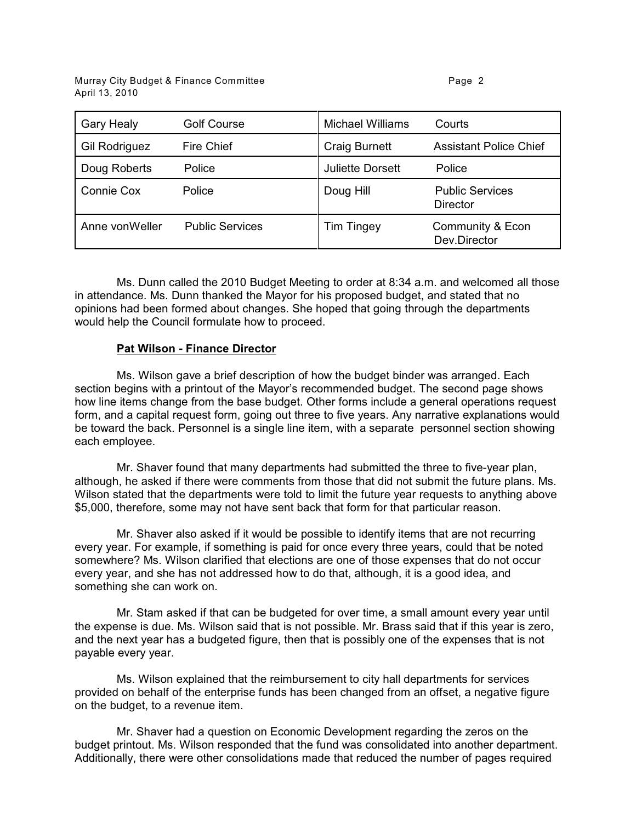| <b>Gary Healy</b>    | <b>Golf Course</b>     | <b>Michael Williams</b> | Courts                             |
|----------------------|------------------------|-------------------------|------------------------------------|
| <b>Gil Rodriguez</b> | <b>Fire Chief</b>      | <b>Craig Burnett</b>    | <b>Assistant Police Chief</b>      |
| Doug Roberts         | Police                 | <b>Juliette Dorsett</b> | Police                             |
| Connie Cox           | Police                 | Doug Hill               | <b>Public Services</b><br>Director |
| Anne von Weller      | <b>Public Services</b> | <b>Tim Tingey</b>       | Community & Econ<br>Dev.Director   |

Ms. Dunn called the 2010 Budget Meeting to order at 8:34 a.m. and welcomed all those in attendance. Ms. Dunn thanked the Mayor for his proposed budget, and stated that no opinions had been formed about changes. She hoped that going through the departments would help the Council formulate how to proceed.

# **Pat Wilson - Finance Director**

Ms. Wilson gave a brief description of how the budget binder was arranged. Each section begins with a printout of the Mayor's recommended budget. The second page shows how line items change from the base budget. Other forms include a general operations request form, and a capital request form, going out three to five years. Any narrative explanations would be toward the back. Personnel is a single line item, with a separate personnel section showing each employee.

Mr. Shaver found that many departments had submitted the three to five-year plan, although, he asked if there were comments from those that did not submit the future plans. Ms. Wilson stated that the departments were told to limit the future year requests to anything above \$5,000, therefore, some may not have sent back that form for that particular reason.

Mr. Shaver also asked if it would be possible to identify items that are not recurring every year. For example, if something is paid for once every three years, could that be noted somewhere? Ms. Wilson clarified that elections are one of those expenses that do not occur every year, and she has not addressed how to do that, although, it is a good idea, and something she can work on.

Mr. Stam asked if that can be budgeted for over time, a small amount every year until the expense is due. Ms. Wilson said that is not possible. Mr. Brass said that if this year is zero, and the next year has a budgeted figure, then that is possibly one of the expenses that is not payable every year.

Ms. Wilson explained that the reimbursement to city hall departments for services provided on behalf of the enterprise funds has been changed from an offset, a negative figure on the budget, to a revenue item.

Mr. Shaver had a question on Economic Development regarding the zeros on the budget printout. Ms. Wilson responded that the fund was consolidated into another department. Additionally, there were other consolidations made that reduced the number of pages required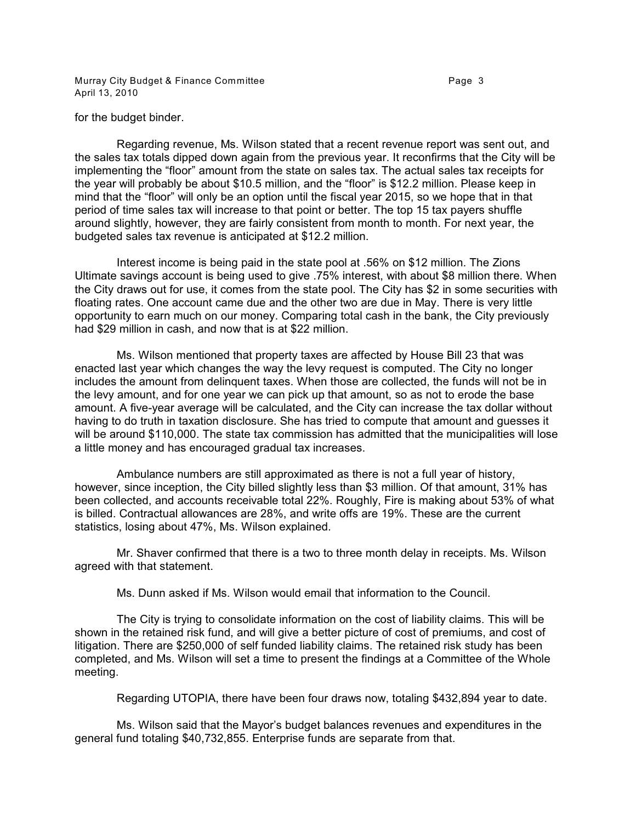Murray City Budget & Finance Committee **Page 3** Page 3 April 13, 2010

for the budget binder.

Regarding revenue, Ms. Wilson stated that a recent revenue report was sent out, and the sales tax totals dipped down again from the previous year. It reconfirms that the City will be implementing the "floor" amount from the state on sales tax. The actual sales tax receipts for the year will probably be about \$10.5 million, and the "floor" is \$12.2 million. Please keep in mind that the "floor" will only be an option until the fiscal year 2015, so we hope that in that period of time sales tax will increase to that point or better. The top 15 tax payers shuffle around slightly, however, they are fairly consistent from month to month. For next year, the budgeted sales tax revenue is anticipated at \$12.2 million.

Interest income is being paid in the state pool at .56% on \$12 million. The Zions Ultimate savings account is being used to give .75% interest, with about \$8 million there. When the City draws out for use, it comes from the state pool. The City has \$2 in some securities with floating rates. One account came due and the other two are due in May. There is very little opportunity to earn much on our money. Comparing total cash in the bank, the City previously had \$29 million in cash, and now that is at \$22 million.

Ms. Wilson mentioned that property taxes are affected by House Bill 23 that was enacted last year which changes the way the levy request is computed. The City no longer includes the amount from delinquent taxes. When those are collected, the funds will not be in the levy amount, and for one year we can pick up that amount, so as not to erode the base amount. A five-year average will be calculated, and the City can increase the tax dollar without having to do truth in taxation disclosure. She has tried to compute that amount and guesses it will be around \$110,000. The state tax commission has admitted that the municipalities will lose a little money and has encouraged gradual tax increases.

Ambulance numbers are still approximated as there is not a full year of history, however, since inception, the City billed slightly less than \$3 million. Of that amount, 31% has been collected, and accounts receivable total 22%. Roughly, Fire is making about 53% of what is billed. Contractual allowances are 28%, and write offs are 19%. These are the current statistics, losing about 47%, Ms. Wilson explained.

Mr. Shaver confirmed that there is a two to three month delay in receipts. Ms. Wilson agreed with that statement.

Ms. Dunn asked if Ms. Wilson would email that information to the Council.

The City is trying to consolidate information on the cost of liability claims. This will be shown in the retained risk fund, and will give a better picture of cost of premiums, and cost of litigation. There are \$250,000 of self funded liability claims. The retained risk study has been completed, and Ms. Wilson will set a time to present the findings at a Committee of the Whole meeting.

Regarding UTOPIA, there have been four draws now, totaling \$432,894 year to date.

Ms. Wilson said that the Mayor's budget balances revenues and expenditures in the general fund totaling \$40,732,855. Enterprise funds are separate from that.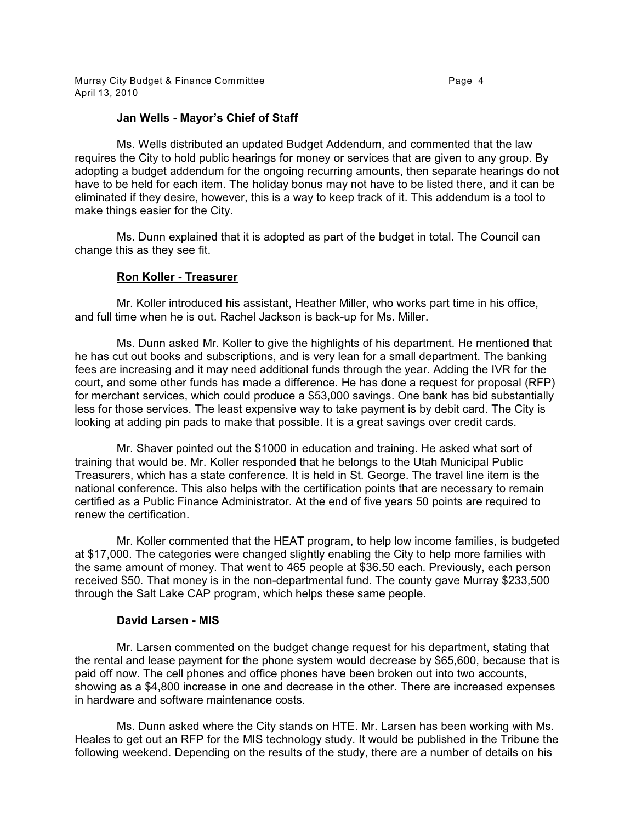# **Jan Wells - Mayor's Chief of Staff**

Ms. Wells distributed an updated Budget Addendum, and commented that the law requires the City to hold public hearings for money or services that are given to any group. By adopting a budget addendum for the ongoing recurring amounts, then separate hearings do not have to be held for each item. The holiday bonus may not have to be listed there, and it can be eliminated if they desire, however, this is a way to keep track of it. This addendum is a tool to make things easier for the City.

Ms. Dunn explained that it is adopted as part of the budget in total. The Council can change this as they see fit.

#### **Ron Koller - Treasurer**

Mr. Koller introduced his assistant, Heather Miller, who works part time in his office, and full time when he is out. Rachel Jackson is back-up for Ms. Miller.

Ms. Dunn asked Mr. Koller to give the highlights of his department. He mentioned that he has cut out books and subscriptions, and is very lean for a small department. The banking fees are increasing and it may need additional funds through the year. Adding the IVR for the court, and some other funds has made a difference. He has done a request for proposal (RFP) for merchant services, which could produce a \$53,000 savings. One bank has bid substantially less for those services. The least expensive way to take payment is by debit card. The City is looking at adding pin pads to make that possible. It is a great savings over credit cards.

Mr. Shaver pointed out the \$1000 in education and training. He asked what sort of training that would be. Mr. Koller responded that he belongs to the Utah Municipal Public Treasurers, which has a state conference. It is held in St. George. The travel line item is the national conference. This also helps with the certification points that are necessary to remain certified as a Public Finance Administrator. At the end of five years 50 points are required to renew the certification.

Mr. Koller commented that the HEAT program, to help low income families, is budgeted at \$17,000. The categories were changed slightly enabling the City to help more families with the same amount of money. That went to 465 people at \$36.50 each. Previously, each person received \$50. That money is in the non-departmental fund. The county gave Murray \$233,500 through the Salt Lake CAP program, which helps these same people.

#### **David Larsen - MIS**

Mr. Larsen commented on the budget change request for his department, stating that the rental and lease payment for the phone system would decrease by \$65,600, because that is paid off now. The cell phones and office phones have been broken out into two accounts, showing as a \$4,800 increase in one and decrease in the other. There are increased expenses in hardware and software maintenance costs.

Ms. Dunn asked where the City stands on HTE. Mr. Larsen has been working with Ms. Heales to get out an RFP for the MIS technology study. It would be published in the Tribune the following weekend. Depending on the results of the study, there are a number of details on his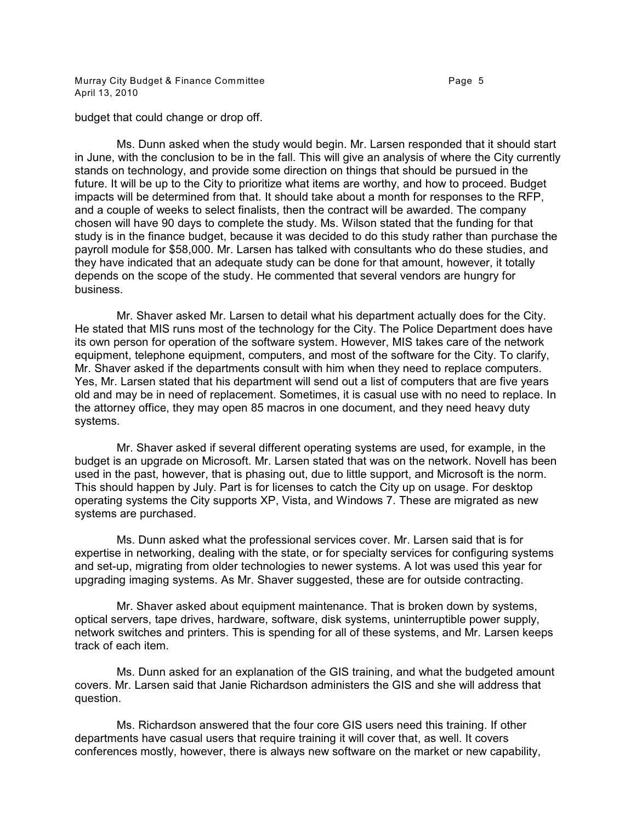Murray City Budget & Finance Committee **Page 1** Page 5 April 13, 2010

budget that could change or drop off.

Ms. Dunn asked when the study would begin. Mr. Larsen responded that it should start in June, with the conclusion to be in the fall. This will give an analysis of where the City currently stands on technology, and provide some direction on things that should be pursued in the future. It will be up to the City to prioritize what items are worthy, and how to proceed. Budget impacts will be determined from that. It should take about a month for responses to the RFP, and a couple of weeks to select finalists, then the contract will be awarded. The company chosen will have 90 days to complete the study. Ms. Wilson stated that the funding for that study is in the finance budget, because it was decided to do this study rather than purchase the payroll module for \$58,000. Mr. Larsen has talked with consultants who do these studies, and they have indicated that an adequate study can be done for that amount, however, it totally depends on the scope of the study. He commented that several vendors are hungry for business.

Mr. Shaver asked Mr. Larsen to detail what his department actually does for the City. He stated that MIS runs most of the technology for the City. The Police Department does have its own person for operation of the software system. However, MIS takes care of the network equipment, telephone equipment, computers, and most of the software for the City. To clarify, Mr. Shaver asked if the departments consult with him when they need to replace computers. Yes, Mr. Larsen stated that his department will send out a list of computers that are five years old and may be in need of replacement. Sometimes, it is casual use with no need to replace. In the attorney office, they may open 85 macros in one document, and they need heavy duty systems.

Mr. Shaver asked if several different operating systems are used, for example, in the budget is an upgrade on Microsoft. Mr. Larsen stated that was on the network. Novell has been used in the past, however, that is phasing out, due to little support, and Microsoft is the norm. This should happen by July. Part is for licenses to catch the City up on usage. For desktop operating systems the City supports XP, Vista, and Windows 7. These are migrated as new systems are purchased.

Ms. Dunn asked what the professional services cover. Mr. Larsen said that is for expertise in networking, dealing with the state, or for specialty services for configuring systems and set-up, migrating from older technologies to newer systems. A lot was used this year for upgrading imaging systems. As Mr. Shaver suggested, these are for outside contracting.

Mr. Shaver asked about equipment maintenance. That is broken down by systems, optical servers, tape drives, hardware, software, disk systems, uninterruptible power supply, network switches and printers. This is spending for all of these systems, and Mr. Larsen keeps track of each item.

Ms. Dunn asked for an explanation of the GIS training, and what the budgeted amount covers. Mr. Larsen said that Janie Richardson administers the GIS and she will address that question.

Ms. Richardson answered that the four core GIS users need this training. If other departments have casual users that require training it will cover that, as well. It covers conferences mostly, however, there is always new software on the market or new capability,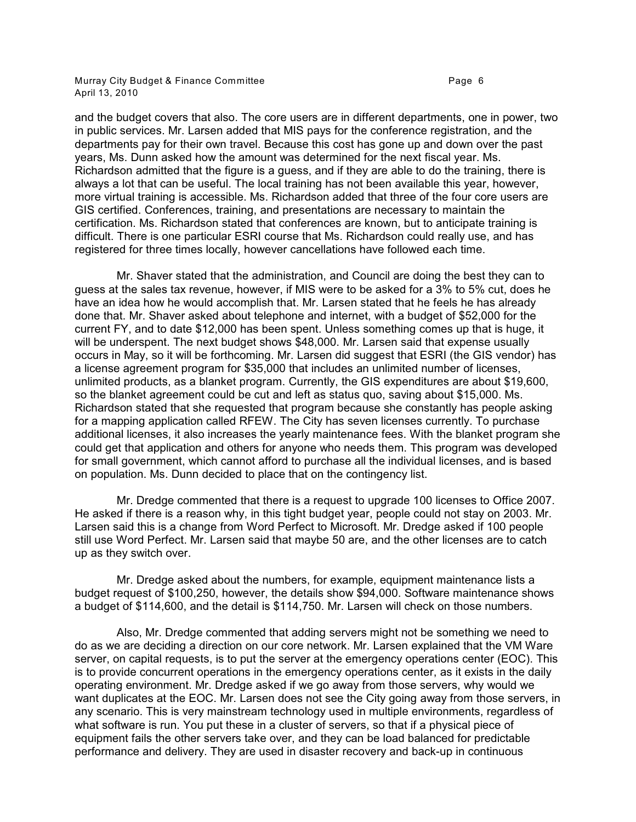Murray City Budget & Finance Committee **Page 1** 2012 1 2014 1 2019 1 2019 1 2019 1 2019 1 2019 1 2019 1 2019 1 20 April 13, 2010

and the budget covers that also. The core users are in different departments, one in power, two in public services. Mr. Larsen added that MIS pays for the conference registration, and the departments pay for their own travel. Because this cost has gone up and down over the past years, Ms. Dunn asked how the amount was determined for the next fiscal year. Ms. Richardson admitted that the figure is a guess, and if they are able to do the training, there is always a lot that can be useful. The local training has not been available this year, however, more virtual training is accessible. Ms. Richardson added that three of the four core users are GIS certified. Conferences, training, and presentations are necessary to maintain the certification. Ms. Richardson stated that conferences are known, but to anticipate training is difficult. There is one particular ESRI course that Ms. Richardson could really use, and has registered for three times locally, however cancellations have followed each time.

Mr. Shaver stated that the administration, and Council are doing the best they can to guess at the sales tax revenue, however, if MIS were to be asked for a 3% to 5% cut, does he have an idea how he would accomplish that. Mr. Larsen stated that he feels he has already done that. Mr. Shaver asked about telephone and internet, with a budget of \$52,000 for the current FY, and to date \$12,000 has been spent. Unless something comes up that is huge, it will be underspent. The next budget shows \$48,000. Mr. Larsen said that expense usually occurs in May, so it will be forthcoming. Mr. Larsen did suggest that ESRI (the GIS vendor) has a license agreement program for \$35,000 that includes an unlimited number of licenses, unlimited products, as a blanket program. Currently, the GIS expenditures are about \$19,600, so the blanket agreement could be cut and left as status quo, saving about \$15,000. Ms. Richardson stated that she requested that program because she constantly has people asking for a mapping application called RFEW. The City has seven licenses currently. To purchase additional licenses, it also increases the yearly maintenance fees. With the blanket program she could get that application and others for anyone who needs them. This program was developed for small government, which cannot afford to purchase all the individual licenses, and is based on population. Ms. Dunn decided to place that on the contingency list.

Mr. Dredge commented that there is a request to upgrade 100 licenses to Office 2007. He asked if there is a reason why, in this tight budget year, people could not stay on 2003. Mr. Larsen said this is a change from Word Perfect to Microsoft. Mr. Dredge asked if 100 people still use Word Perfect. Mr. Larsen said that maybe 50 are, and the other licenses are to catch up as they switch over.

Mr. Dredge asked about the numbers, for example, equipment maintenance lists a budget request of \$100,250, however, the details show \$94,000. Software maintenance shows a budget of \$114,600, and the detail is \$114,750. Mr. Larsen will check on those numbers.

Also, Mr. Dredge commented that adding servers might not be something we need to do as we are deciding a direction on our core network. Mr. Larsen explained that the VM Ware server, on capital requests, is to put the server at the emergency operations center (EOC). This is to provide concurrent operations in the emergency operations center, as it exists in the daily operating environment. Mr. Dredge asked if we go away from those servers, why would we want duplicates at the EOC. Mr. Larsen does not see the City going away from those servers, in any scenario. This is very mainstream technology used in multiple environments, regardless of what software is run. You put these in a cluster of servers, so that if a physical piece of equipment fails the other servers take over, and they can be load balanced for predictable performance and delivery. They are used in disaster recovery and back-up in continuous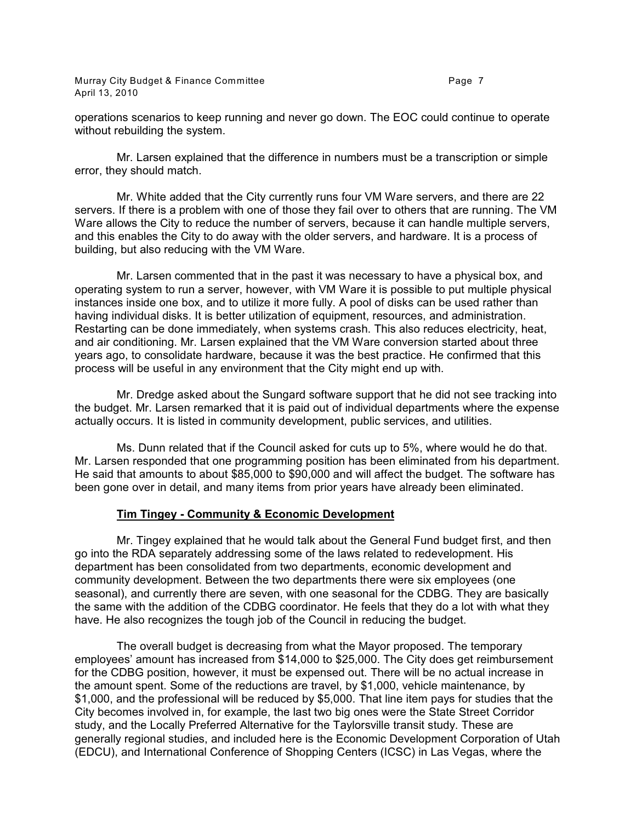Murray City Budget & Finance Committee **Page 7** and the Page 7 April 13, 2010

operations scenarios to keep running and never go down. The EOC could continue to operate without rebuilding the system.

Mr. Larsen explained that the difference in numbers must be a transcription or simple error, they should match.

Mr. White added that the City currently runs four VM Ware servers, and there are 22 servers. If there is a problem with one of those they fail over to others that are running. The VM Ware allows the City to reduce the number of servers, because it can handle multiple servers, and this enables the City to do away with the older servers, and hardware. It is a process of building, but also reducing with the VM Ware.

Mr. Larsen commented that in the past it was necessary to have a physical box, and operating system to run a server, however, with VM Ware it is possible to put multiple physical instances inside one box, and to utilize it more fully. A pool of disks can be used rather than having individual disks. It is better utilization of equipment, resources, and administration. Restarting can be done immediately, when systems crash. This also reduces electricity, heat, and air conditioning. Mr. Larsen explained that the VM Ware conversion started about three years ago, to consolidate hardware, because it was the best practice. He confirmed that this process will be useful in any environment that the City might end up with.

Mr. Dredge asked about the Sungard software support that he did not see tracking into the budget. Mr. Larsen remarked that it is paid out of individual departments where the expense actually occurs. It is listed in community development, public services, and utilities.

Ms. Dunn related that if the Council asked for cuts up to 5%, where would he do that. Mr. Larsen responded that one programming position has been eliminated from his department. He said that amounts to about \$85,000 to \$90,000 and will affect the budget. The software has been gone over in detail, and many items from prior years have already been eliminated.

# **Tim Tingey - Community & Economic Development**

Mr. Tingey explained that he would talk about the General Fund budget first, and then go into the RDA separately addressing some of the laws related to redevelopment. His department has been consolidated from two departments, economic development and community development. Between the two departments there were six employees (one seasonal), and currently there are seven, with one seasonal for the CDBG. They are basically the same with the addition of the CDBG coordinator. He feels that they do a lot with what they have. He also recognizes the tough job of the Council in reducing the budget.

The overall budget is decreasing from what the Mayor proposed. The temporary employees' amount has increased from \$14,000 to \$25,000. The City does get reimbursement for the CDBG position, however, it must be expensed out. There will be no actual increase in the amount spent. Some of the reductions are travel, by \$1,000, vehicle maintenance, by \$1,000, and the professional will be reduced by \$5,000. That line item pays for studies that the City becomes involved in, for example, the last two big ones were the State Street Corridor study, and the Locally Preferred Alternative for the Taylorsville transit study. These are generally regional studies, and included here is the Economic Development Corporation of Utah (EDCU), and International Conference of Shopping Centers (ICSC) in Las Vegas, where the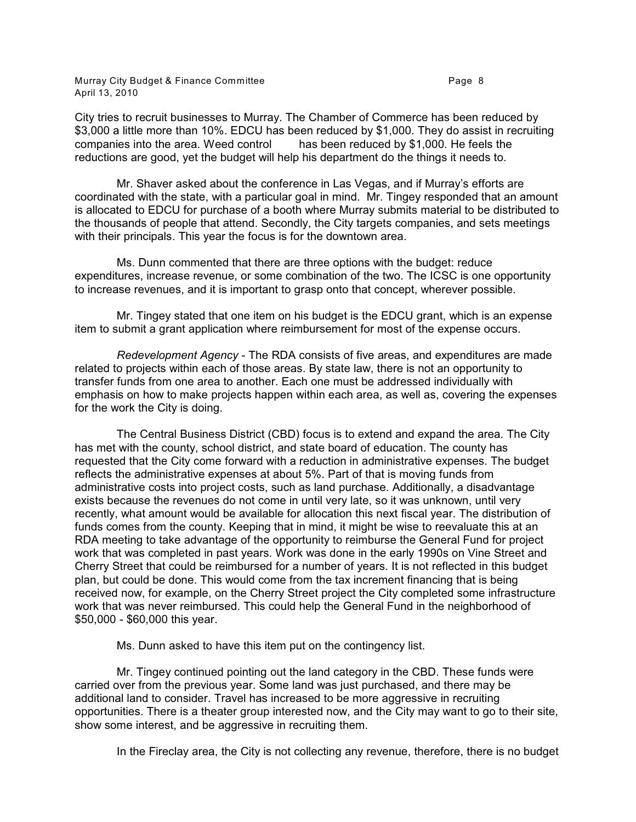Murray City Budget & Finance Committee **Page 1** 2012 1 2014 1 2019 1 2019 1 2019 1 2019 1 2019 1 2019 1 2019 1 20 April 13, 2010

City tries to recruit businesses to Murray. The Chamber of Commerce has been reduced by \$3,000 a little more than 10%. EDCU has been reduced by \$1,000. They do assist in recruiting companies into the area. Weed control has been reduced by \$1.000. He feels the has been reduced by \$1,000. He feels the reductions are good, yet the budget will help his department do the things it needs to.

Mr. Shaver asked about the conference in Las Vegas, and if Murray's efforts are coordinated with the state, with a particular goal in mind. Mr. Tingey responded that an amount is allocated to EDCU for purchase of a booth where Murray submits material to be distributed to the thousands of people that attend. Secondly, the City targets companies, and sets meetings with their principals. This year the focus is for the downtown area.

Ms. Dunn commented that there are three options with the budget: reduce expenditures, increase revenue, or some combination of the two. The ICSC is one opportunity to increase revenues, and it is important to grasp onto that concept, wherever possible.

Mr. Tingey stated that one item on his budget is the EDCU grant, which is an expense item to submit a grant application where reimbursement for most of the expense occurs.

*Redevelopment Agency* - The RDA consists of five areas, and expenditures are made related to projects within each of those areas. By state law, there is not an opportunity to transfer funds from one area to another. Each one must be addressed individually with emphasis on how to make projects happen within each area, as well as, covering the expenses for the work the City is doing.

The Central Business District (CBD) focus is to extend and expand the area. The City has met with the county, school district, and state board of education. The county has requested that the City come forward with a reduction in administrative expenses. The budget reflects the administrative expenses at about 5%. Part of that is moving funds from administrative costs into project costs, such as land purchase. Additionally, a disadvantage exists because the revenues do not come in until very late, so it was unknown, until very recently, what amount would be available for allocation this next fiscal year. The distribution of funds comes from the county. Keeping that in mind, it might be wise to reevaluate this at an RDA meeting to take advantage of the opportunity to reimburse the General Fund for project work that was completed in past years. Work was done in the early 1990s on Vine Street and Cherry Street that could be reimbursed for a number of years. It is not reflected in this budget plan, but could be done. This would come from the tax increment financing that is being received now, for example, on the Cherry Street project the City completed some infrastructure work that was never reimbursed. This could help the General Fund in the neighborhood of \$50,000 - \$60,000 this year.

Ms. Dunn asked to have this item put on the contingency list.

Mr. Tingey continued pointing out the land category in the CBD. These funds were carried over from the previous year. Some land was just purchased, and there may be additional land to consider. Travel has increased to be more aggressive in recruiting opportunities. There is a theater group interested now, and the City may want to go to their site, show some interest, and be aggressive in recruiting them.

In the Fireclay area, the City is not collecting any revenue, therefore, there is no budget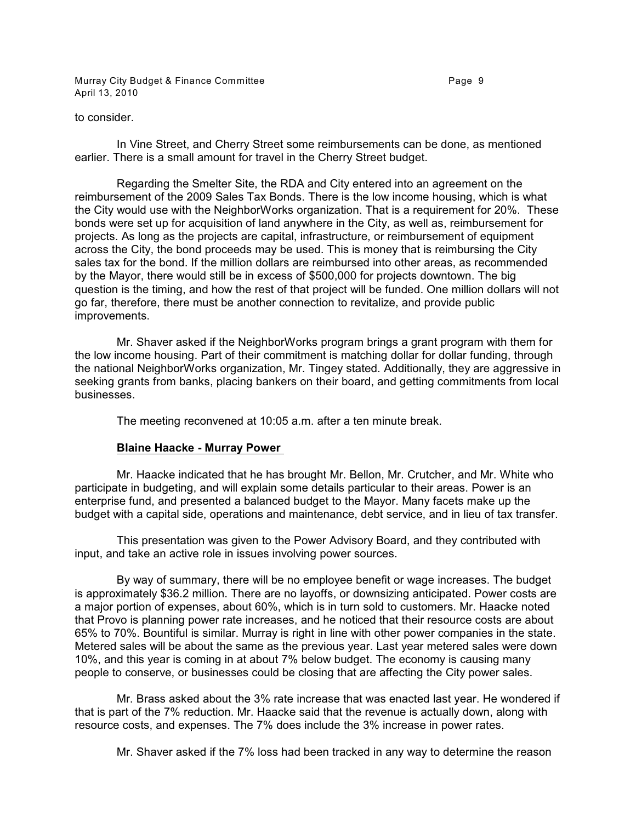Murray City Budget & Finance Committee **Page 9** Page 9 April 13, 2010

#### to consider.

In Vine Street, and Cherry Street some reimbursements can be done, as mentioned earlier. There is a small amount for travel in the Cherry Street budget.

Regarding the Smelter Site, the RDA and City entered into an agreement on the reimbursement of the 2009 Sales Tax Bonds. There is the low income housing, which is what the City would use with the NeighborWorks organization. That is a requirement for 20%. These bonds were set up for acquisition of land anywhere in the City, as well as, reimbursement for projects. As long as the projects are capital, infrastructure, or reimbursement of equipment across the City, the bond proceeds may be used. This is money that is reimbursing the City sales tax for the bond. If the million dollars are reimbursed into other areas, as recommended by the Mayor, there would still be in excess of \$500,000 for projects downtown. The big question is the timing, and how the rest of that project will be funded. One million dollars will not go far, therefore, there must be another connection to revitalize, and provide public improvements.

Mr. Shaver asked if the NeighborWorks program brings a grant program with them for the low income housing. Part of their commitment is matching dollar for dollar funding, through the national NeighborWorks organization, Mr. Tingey stated. Additionally, they are aggressive in seeking grants from banks, placing bankers on their board, and getting commitments from local businesses.

The meeting reconvened at 10:05 a.m. after a ten minute break.

# **Blaine Haacke - Murray Power**

Mr. Haacke indicated that he has brought Mr. Bellon, Mr. Crutcher, and Mr. White who participate in budgeting, and will explain some details particular to their areas. Power is an enterprise fund, and presented a balanced budget to the Mayor. Many facets make up the budget with a capital side, operations and maintenance, debt service, and in lieu of tax transfer.

This presentation was given to the Power Advisory Board, and they contributed with input, and take an active role in issues involving power sources.

By way of summary, there will be no employee benefit or wage increases. The budget is approximately \$36.2 million. There are no layoffs, or downsizing anticipated. Power costs are a major portion of expenses, about 60%, which is in turn sold to customers. Mr. Haacke noted that Provo is planning power rate increases, and he noticed that their resource costs are about 65% to 70%. Bountiful is similar. Murray is right in line with other power companies in the state. Metered sales will be about the same as the previous year. Last year metered sales were down 10%, and this year is coming in at about 7% below budget. The economy is causing many people to conserve, or businesses could be closing that are affecting the City power sales.

Mr. Brass asked about the 3% rate increase that was enacted last year. He wondered if that is part of the 7% reduction. Mr. Haacke said that the revenue is actually down, along with resource costs, and expenses. The 7% does include the 3% increase in power rates.

Mr. Shaver asked if the 7% loss had been tracked in any way to determine the reason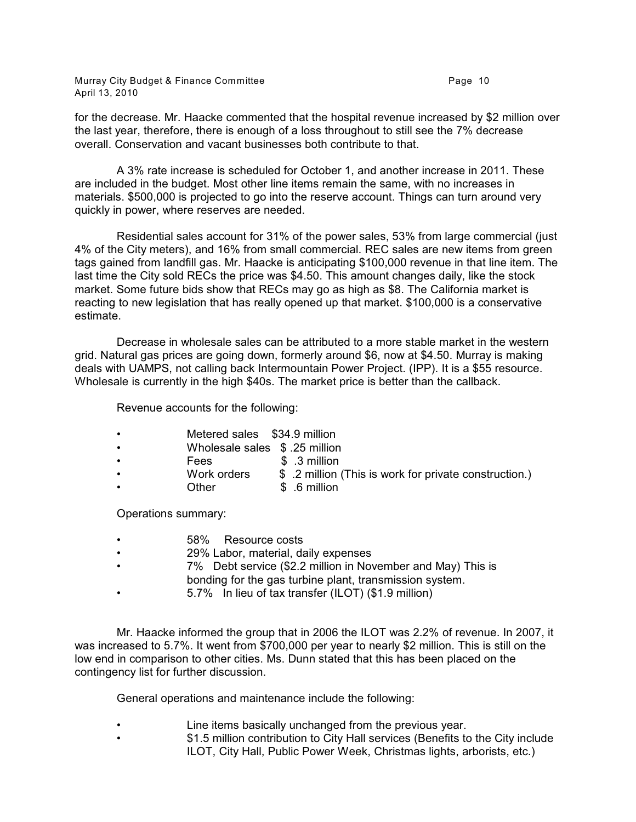Murray City Budget & Finance Committee **Page 10** Page 10 April 13, 2010

for the decrease. Mr. Haacke commented that the hospital revenue increased by \$2 million over the last year, therefore, there is enough of a loss throughout to still see the 7% decrease overall. Conservation and vacant businesses both contribute to that.

A 3% rate increase is scheduled for October 1, and another increase in 2011. These are included in the budget. Most other line items remain the same, with no increases in materials. \$500,000 is projected to go into the reserve account. Things can turn around very quickly in power, where reserves are needed.

Residential sales account for 31% of the power sales, 53% from large commercial (just 4% of the City meters), and 16% from small commercial. REC sales are new items from green tags gained from landfill gas. Mr. Haacke is anticipating \$100,000 revenue in that line item. The last time the City sold RECs the price was \$4.50. This amount changes daily, like the stock market. Some future bids show that RECs may go as high as \$8. The California market is reacting to new legislation that has really opened up that market. \$100,000 is a conservative estimate.

Decrease in wholesale sales can be attributed to a more stable market in the western grid. Natural gas prices are going down, formerly around \$6, now at \$4.50. Murray is making deals with UAMPS, not calling back Intermountain Power Project. (IPP). It is a \$55 resource. Wholesale is currently in the high \$40s. The market price is better than the callback.

Revenue accounts for the following:

- Metered sales \$34.9 million
- Wholesale sales \$ .25 million
- Fees \$ .3 million
	- Work orders \$ .2 million (This is work for private construction.)
- Other \$ .6 million

Operations summary:

- 58% Resource costs
- 29% Labor, material, daily expenses
- 7% Debt service (\$2.2 million in November and May) This is bonding for the gas turbine plant, transmission system.
- 5.7% In lieu of tax transfer (ILOT) (\$1.9 million)

Mr. Haacke informed the group that in 2006 the ILOT was 2.2% of revenue. In 2007, it was increased to 5.7%. It went from \$700,000 per year to nearly \$2 million. This is still on the low end in comparison to other cities. Ms. Dunn stated that this has been placed on the contingency list for further discussion.

General operations and maintenance include the following:

- Line items basically unchanged from the previous year.
- \$1.5 million contribution to City Hall services (Benefits to the City include ILOT, City Hall, Public Power Week, Christmas lights, arborists, etc.)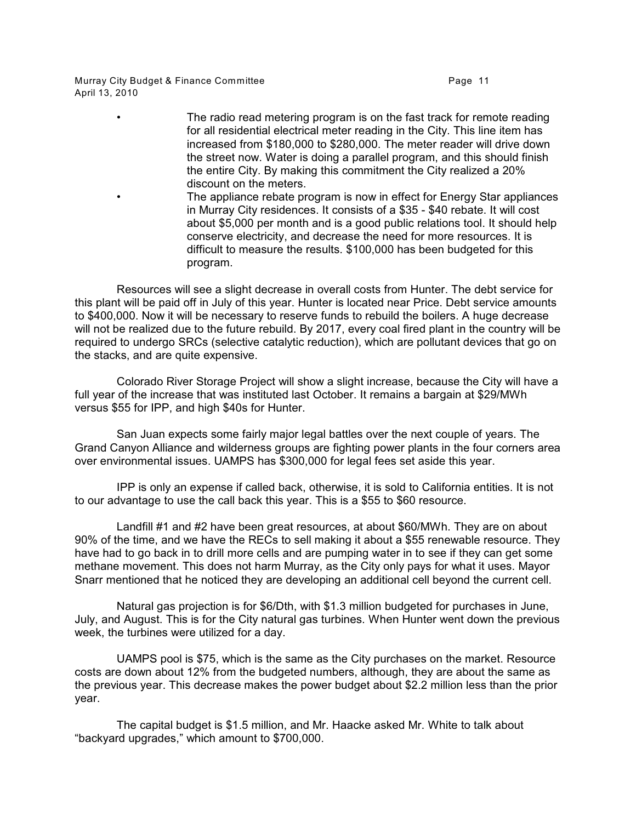Murray City Budget & Finance Committee **Page 11** and the Page 11 April 13, 2010

> • The radio read metering program is on the fast track for remote reading for all residential electrical meter reading in the City. This line item has increased from \$180,000 to \$280,000. The meter reader will drive down the street now. Water is doing a parallel program, and this should finish the entire City. By making this commitment the City realized a 20% discount on the meters. • The appliance rebate program is now in effect for Energy Star appliances

in Murray City residences. It consists of a \$35 - \$40 rebate. It will cost about \$5,000 per month and is a good public relations tool. It should help conserve electricity, and decrease the need for more resources. It is difficult to measure the results. \$100,000 has been budgeted for this program.

Resources will see a slight decrease in overall costs from Hunter. The debt service for this plant will be paid off in July of this year. Hunter is located near Price. Debt service amounts to \$400,000. Now it will be necessary to reserve funds to rebuild the boilers. A huge decrease will not be realized due to the future rebuild. By 2017, every coal fired plant in the country will be required to undergo SRCs (selective catalytic reduction), which are pollutant devices that go on the stacks, and are quite expensive.

Colorado River Storage Project will show a slight increase, because the City will have a full year of the increase that was instituted last October. It remains a bargain at \$29/MWh versus \$55 for IPP, and high \$40s for Hunter.

San Juan expects some fairly major legal battles over the next couple of years. The Grand Canyon Alliance and wilderness groups are fighting power plants in the four corners area over environmental issues. UAMPS has \$300,000 for legal fees set aside this year.

IPP is only an expense if called back, otherwise, it is sold to California entities. It is not to our advantage to use the call back this year. This is a \$55 to \$60 resource.

Landfill #1 and #2 have been great resources, at about \$60/MWh. They are on about 90% of the time, and we have the RECs to sell making it about a \$55 renewable resource. They have had to go back in to drill more cells and are pumping water in to see if they can get some methane movement. This does not harm Murray, as the City only pays for what it uses. Mayor Snarr mentioned that he noticed they are developing an additional cell beyond the current cell.

Natural gas projection is for \$6/Dth, with \$1.3 million budgeted for purchases in June, July, and August. This is for the City natural gas turbines. When Hunter went down the previous week, the turbines were utilized for a day.

UAMPS pool is \$75, which is the same as the City purchases on the market. Resource costs are down about 12% from the budgeted numbers, although, they are about the same as the previous year. This decrease makes the power budget about \$2.2 million less than the prior year.

The capital budget is \$1.5 million, and Mr. Haacke asked Mr. White to talk about "backyard upgrades," which amount to \$700,000.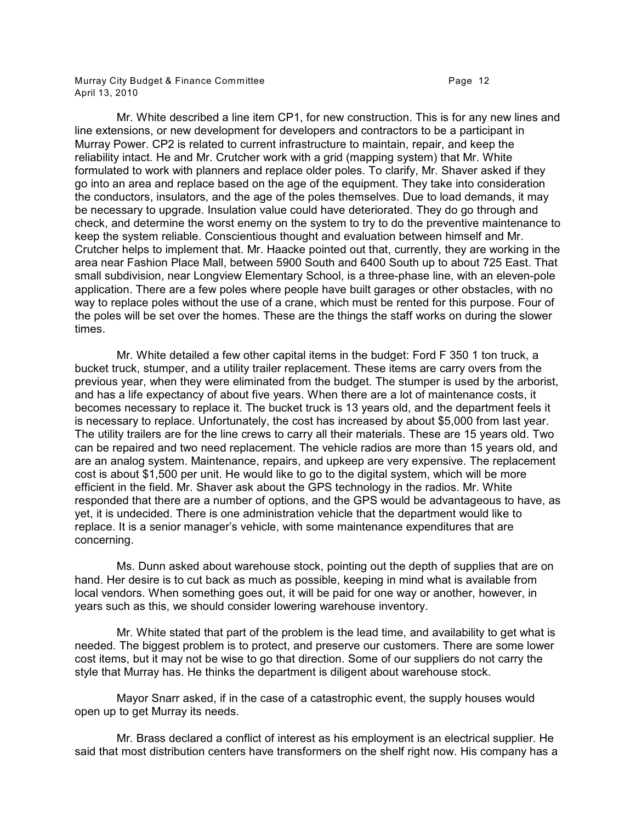Murray City Budget & Finance Committee **Page 12 Page 12** April 13, 2010

Mr. White described a line item CP1, for new construction. This is for any new lines and line extensions, or new development for developers and contractors to be a participant in Murray Power. CP2 is related to current infrastructure to maintain, repair, and keep the reliability intact. He and Mr. Crutcher work with a grid (mapping system) that Mr. White formulated to work with planners and replace older poles. To clarify, Mr. Shaver asked if they go into an area and replace based on the age of the equipment. They take into consideration the conductors, insulators, and the age of the poles themselves. Due to load demands, it may be necessary to upgrade. Insulation value could have deteriorated. They do go through and check, and determine the worst enemy on the system to try to do the preventive maintenance to keep the system reliable. Conscientious thought and evaluation between himself and Mr. Crutcher helps to implement that. Mr. Haacke pointed out that, currently, they are working in the area near Fashion Place Mall, between 5900 South and 6400 South up to about 725 East. That small subdivision, near Longview Elementary School, is a three-phase line, with an eleven-pole application. There are a few poles where people have built garages or other obstacles, with no way to replace poles without the use of a crane, which must be rented for this purpose. Four of the poles will be set over the homes. These are the things the staff works on during the slower times.

Mr. White detailed a few other capital items in the budget: Ford F 350 1 ton truck, a bucket truck, stumper, and a utility trailer replacement. These items are carry overs from the previous year, when they were eliminated from the budget. The stumper is used by the arborist, and has a life expectancy of about five years. When there are a lot of maintenance costs, it becomes necessary to replace it. The bucket truck is 13 years old, and the department feels it is necessary to replace. Unfortunately, the cost has increased by about \$5,000 from last year. The utility trailers are for the line crews to carry all their materials. These are 15 years old. Two can be repaired and two need replacement. The vehicle radios are more than 15 years old, and are an analog system. Maintenance, repairs, and upkeep are very expensive. The replacement cost is about \$1,500 per unit. He would like to go to the digital system, which will be more efficient in the field. Mr. Shaver ask about the GPS technology in the radios. Mr. White responded that there are a number of options, and the GPS would be advantageous to have, as yet, it is undecided. There is one administration vehicle that the department would like to replace. It is a senior manager's vehicle, with some maintenance expenditures that are concerning.

Ms. Dunn asked about warehouse stock, pointing out the depth of supplies that are on hand. Her desire is to cut back as much as possible, keeping in mind what is available from local vendors. When something goes out, it will be paid for one way or another, however, in years such as this, we should consider lowering warehouse inventory.

Mr. White stated that part of the problem is the lead time, and availability to get what is needed. The biggest problem is to protect, and preserve our customers. There are some lower cost items, but it may not be wise to go that direction. Some of our suppliers do not carry the style that Murray has. He thinks the department is diligent about warehouse stock.

Mayor Snarr asked, if in the case of a catastrophic event, the supply houses would open up to get Murray its needs.

Mr. Brass declared a conflict of interest as his employment is an electrical supplier. He said that most distribution centers have transformers on the shelf right now. His company has a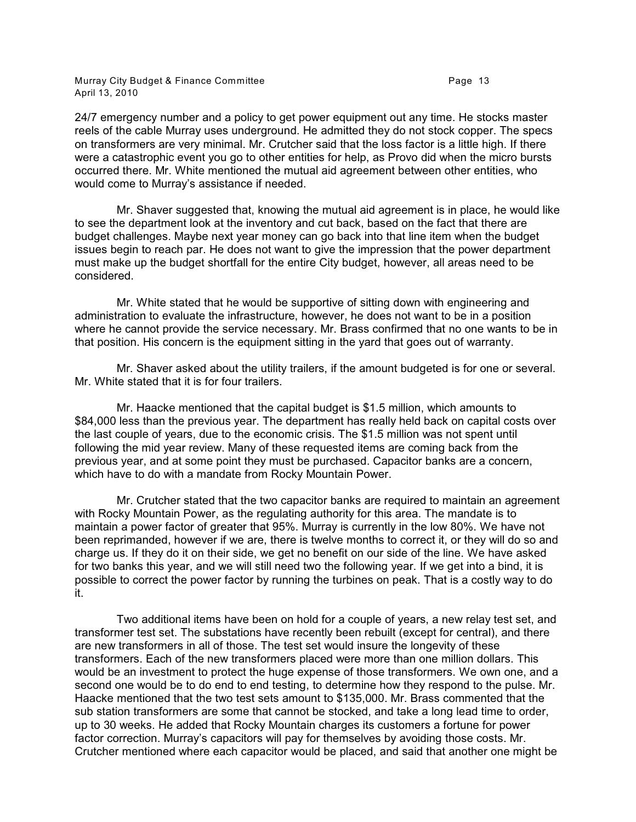Murray City Budget & Finance Committee **Page 13** Page 13 April 13, 2010

24/7 emergency number and a policy to get power equipment out any time. He stocks master reels of the cable Murray uses underground. He admitted they do not stock copper. The specs on transformers are very minimal. Mr. Crutcher said that the loss factor is a little high. If there were a catastrophic event you go to other entities for help, as Provo did when the micro bursts occurred there. Mr. White mentioned the mutual aid agreement between other entities, who would come to Murray's assistance if needed.

Mr. Shaver suggested that, knowing the mutual aid agreement is in place, he would like to see the department look at the inventory and cut back, based on the fact that there are budget challenges. Maybe next year money can go back into that line item when the budget issues begin to reach par. He does not want to give the impression that the power department must make up the budget shortfall for the entire City budget, however, all areas need to be considered.

Mr. White stated that he would be supportive of sitting down with engineering and administration to evaluate the infrastructure, however, he does not want to be in a position where he cannot provide the service necessary. Mr. Brass confirmed that no one wants to be in that position. His concern is the equipment sitting in the yard that goes out of warranty.

Mr. Shaver asked about the utility trailers, if the amount budgeted is for one or several. Mr. White stated that it is for four trailers.

Mr. Haacke mentioned that the capital budget is \$1.5 million, which amounts to \$84,000 less than the previous year. The department has really held back on capital costs over the last couple of years, due to the economic crisis. The \$1.5 million was not spent until following the mid year review. Many of these requested items are coming back from the previous year, and at some point they must be purchased. Capacitor banks are a concern, which have to do with a mandate from Rocky Mountain Power.

Mr. Crutcher stated that the two capacitor banks are required to maintain an agreement with Rocky Mountain Power, as the regulating authority for this area. The mandate is to maintain a power factor of greater that 95%. Murray is currently in the low 80%. We have not been reprimanded, however if we are, there is twelve months to correct it, or they will do so and charge us. If they do it on their side, we get no benefit on our side of the line. We have asked for two banks this year, and we will still need two the following year. If we get into a bind, it is possible to correct the power factor by running the turbines on peak. That is a costly way to do it.

Two additional items have been on hold for a couple of years, a new relay test set, and transformer test set. The substations have recently been rebuilt (except for central), and there are new transformers in all of those. The test set would insure the longevity of these transformers. Each of the new transformers placed were more than one million dollars. This would be an investment to protect the huge expense of those transformers. We own one, and a second one would be to do end to end testing, to determine how they respond to the pulse. Mr. Haacke mentioned that the two test sets amount to \$135,000. Mr. Brass commented that the sub station transformers are some that cannot be stocked, and take a long lead time to order, up to 30 weeks. He added that Rocky Mountain charges its customers a fortune for power factor correction. Murray's capacitors will pay for themselves by avoiding those costs. Mr. Crutcher mentioned where each capacitor would be placed, and said that another one might be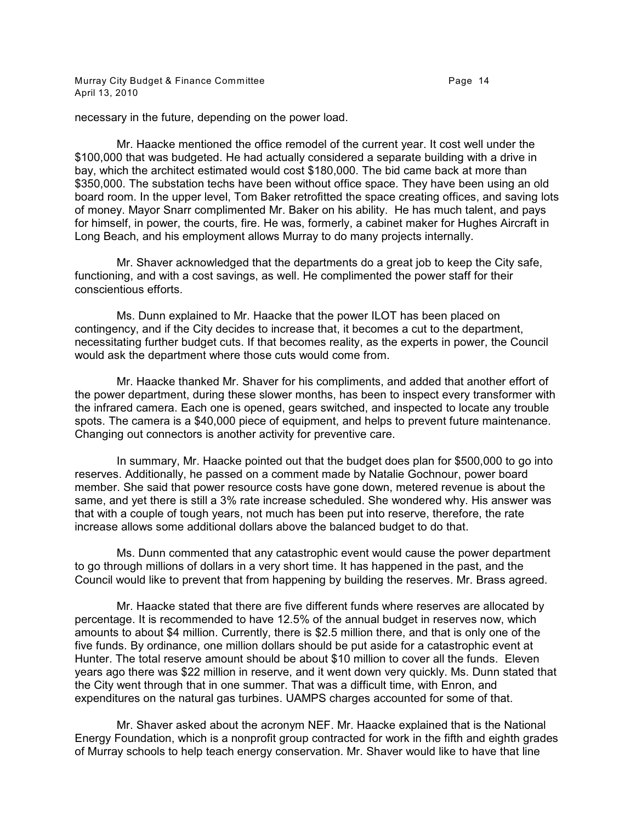Murray City Budget & Finance Committee **Page 14** Page 14 April 13, 2010

necessary in the future, depending on the power load.

Mr. Haacke mentioned the office remodel of the current year. It cost well under the \$100,000 that was budgeted. He had actually considered a separate building with a drive in bay, which the architect estimated would cost \$180,000. The bid came back at more than \$350,000. The substation techs have been without office space. They have been using an old board room. In the upper level, Tom Baker retrofitted the space creating offices, and saving lots of money. Mayor Snarr complimented Mr. Baker on his ability. He has much talent, and pays for himself, in power, the courts, fire. He was, formerly, a cabinet maker for Hughes Aircraft in Long Beach, and his employment allows Murray to do many projects internally.

Mr. Shaver acknowledged that the departments do a great job to keep the City safe, functioning, and with a cost savings, as well. He complimented the power staff for their conscientious efforts.

Ms. Dunn explained to Mr. Haacke that the power ILOT has been placed on contingency, and if the City decides to increase that, it becomes a cut to the department, necessitating further budget cuts. If that becomes reality, as the experts in power, the Council would ask the department where those cuts would come from.

Mr. Haacke thanked Mr. Shaver for his compliments, and added that another effort of the power department, during these slower months, has been to inspect every transformer with the infrared camera. Each one is opened, gears switched, and inspected to locate any trouble spots. The camera is a \$40,000 piece of equipment, and helps to prevent future maintenance. Changing out connectors is another activity for preventive care.

In summary, Mr. Haacke pointed out that the budget does plan for \$500,000 to go into reserves. Additionally, he passed on a comment made by Natalie Gochnour, power board member. She said that power resource costs have gone down, metered revenue is about the same, and yet there is still a 3% rate increase scheduled. She wondered why. His answer was that with a couple of tough years, not much has been put into reserve, therefore, the rate increase allows some additional dollars above the balanced budget to do that.

Ms. Dunn commented that any catastrophic event would cause the power department to go through millions of dollars in a very short time. It has happened in the past, and the Council would like to prevent that from happening by building the reserves. Mr. Brass agreed.

Mr. Haacke stated that there are five different funds where reserves are allocated by percentage. It is recommended to have 12.5% of the annual budget in reserves now, which amounts to about \$4 million. Currently, there is \$2.5 million there, and that is only one of the five funds. By ordinance, one million dollars should be put aside for a catastrophic event at Hunter. The total reserve amount should be about \$10 million to cover all the funds. Eleven years ago there was \$22 million in reserve, and it went down very quickly. Ms. Dunn stated that the City went through that in one summer. That was a difficult time, with Enron, and expenditures on the natural gas turbines. UAMPS charges accounted for some of that.

Mr. Shaver asked about the acronym NEF. Mr. Haacke explained that is the National Energy Foundation, which is a nonprofit group contracted for work in the fifth and eighth grades of Murray schools to help teach energy conservation. Mr. Shaver would like to have that line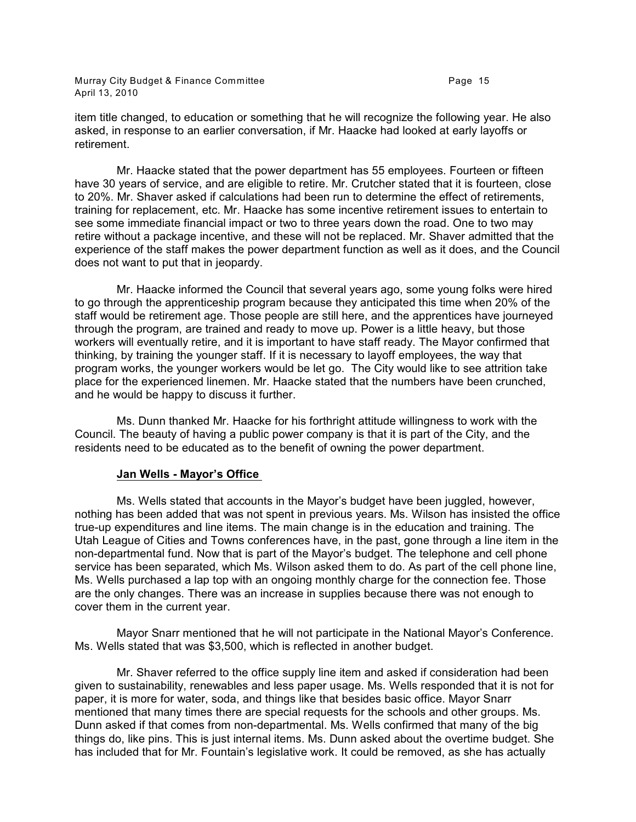Murray City Budget & Finance Committee **Page 15** Page 15 April 13, 2010

item title changed, to education or something that he will recognize the following year. He also asked, in response to an earlier conversation, if Mr. Haacke had looked at early layoffs or retirement.

Mr. Haacke stated that the power department has 55 employees. Fourteen or fifteen have 30 years of service, and are eligible to retire. Mr. Crutcher stated that it is fourteen, close to 20%. Mr. Shaver asked if calculations had been run to determine the effect of retirements, training for replacement, etc. Mr. Haacke has some incentive retirement issues to entertain to see some immediate financial impact or two to three years down the road. One to two may retire without a package incentive, and these will not be replaced. Mr. Shaver admitted that the experience of the staff makes the power department function as well as it does, and the Council does not want to put that in jeopardy.

Mr. Haacke informed the Council that several years ago, some young folks were hired to go through the apprenticeship program because they anticipated this time when 20% of the staff would be retirement age. Those people are still here, and the apprentices have journeyed through the program, are trained and ready to move up. Power is a little heavy, but those workers will eventually retire, and it is important to have staff ready. The Mayor confirmed that thinking, by training the younger staff. If it is necessary to layoff employees, the way that program works, the younger workers would be let go. The City would like to see attrition take place for the experienced linemen. Mr. Haacke stated that the numbers have been crunched, and he would be happy to discuss it further.

Ms. Dunn thanked Mr. Haacke for his forthright attitude willingness to work with the Council. The beauty of having a public power company is that it is part of the City, and the residents need to be educated as to the benefit of owning the power department.

#### **Jan Wells - Mayor's Office**

Ms. Wells stated that accounts in the Mayor's budget have been juggled, however, nothing has been added that was not spent in previous years. Ms. Wilson has insisted the office true-up expenditures and line items. The main change is in the education and training. The Utah League of Cities and Towns conferences have, in the past, gone through a line item in the non-departmental fund. Now that is part of the Mayor's budget. The telephone and cell phone service has been separated, which Ms. Wilson asked them to do. As part of the cell phone line, Ms. Wells purchased a lap top with an ongoing monthly charge for the connection fee. Those are the only changes. There was an increase in supplies because there was not enough to cover them in the current year.

Mayor Snarr mentioned that he will not participate in the National Mayor's Conference. Ms. Wells stated that was \$3,500, which is reflected in another budget.

Mr. Shaver referred to the office supply line item and asked if consideration had been given to sustainability, renewables and less paper usage. Ms. Wells responded that it is not for paper, it is more for water, soda, and things like that besides basic office. Mayor Snarr mentioned that many times there are special requests for the schools and other groups. Ms. Dunn asked if that comes from non-departmental. Ms. Wells confirmed that many of the big things do, like pins. This is just internal items. Ms. Dunn asked about the overtime budget. She has included that for Mr. Fountain's legislative work. It could be removed, as she has actually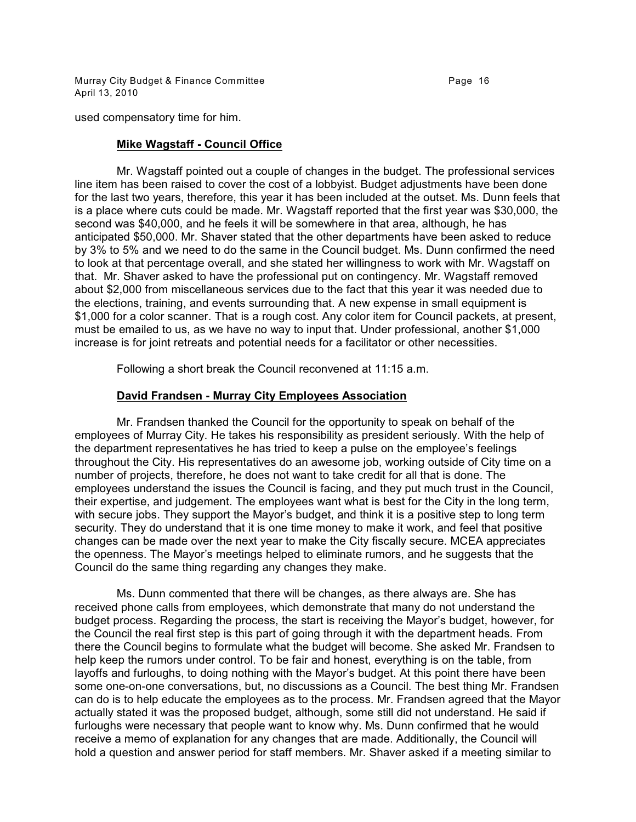Murray City Budget & Finance Committee **Page 16** Page 16 April 13, 2010

used compensatory time for him.

# **Mike Wagstaff - Council Office**

Mr. Wagstaff pointed out a couple of changes in the budget. The professional services line item has been raised to cover the cost of a lobbyist. Budget adjustments have been done for the last two years, therefore, this year it has been included at the outset. Ms. Dunn feels that is a place where cuts could be made. Mr. Wagstaff reported that the first year was \$30,000, the second was \$40,000, and he feels it will be somewhere in that area, although, he has anticipated \$50,000. Mr. Shaver stated that the other departments have been asked to reduce by 3% to 5% and we need to do the same in the Council budget. Ms. Dunn confirmed the need to look at that percentage overall, and she stated her willingness to work with Mr. Wagstaff on that. Mr. Shaver asked to have the professional put on contingency. Mr. Wagstaff removed about \$2,000 from miscellaneous services due to the fact that this year it was needed due to the elections, training, and events surrounding that. A new expense in small equipment is \$1,000 for a color scanner. That is a rough cost. Any color item for Council packets, at present, must be emailed to us, as we have no way to input that. Under professional, another \$1,000 increase is for joint retreats and potential needs for a facilitator or other necessities.

Following a short break the Council reconvened at 11:15 a.m.

# **David Frandsen - Murray City Employees Association**

Mr. Frandsen thanked the Council for the opportunity to speak on behalf of the employees of Murray City. He takes his responsibility as president seriously. With the help of the department representatives he has tried to keep a pulse on the employee's feelings throughout the City. His representatives do an awesome job, working outside of City time on a number of projects, therefore, he does not want to take credit for all that is done. The employees understand the issues the Council is facing, and they put much trust in the Council, their expertise, and judgement. The employees want what is best for the City in the long term, with secure jobs. They support the Mayor's budget, and think it is a positive step to long term security. They do understand that it is one time money to make it work, and feel that positive changes can be made over the next year to make the City fiscally secure. MCEA appreciates the openness. The Mayor's meetings helped to eliminate rumors, and he suggests that the Council do the same thing regarding any changes they make.

Ms. Dunn commented that there will be changes, as there always are. She has received phone calls from employees, which demonstrate that many do not understand the budget process. Regarding the process, the start is receiving the Mayor's budget, however, for the Council the real first step is this part of going through it with the department heads. From there the Council begins to formulate what the budget will become. She asked Mr. Frandsen to help keep the rumors under control. To be fair and honest, everything is on the table, from layoffs and furloughs, to doing nothing with the Mayor's budget. At this point there have been some one-on-one conversations, but, no discussions as a Council. The best thing Mr. Frandsen can do is to help educate the employees as to the process. Mr. Frandsen agreed that the Mayor actually stated it was the proposed budget, although, some still did not understand. He said if furloughs were necessary that people want to know why. Ms. Dunn confirmed that he would receive a memo of explanation for any changes that are made. Additionally, the Council will hold a question and answer period for staff members. Mr. Shaver asked if a meeting similar to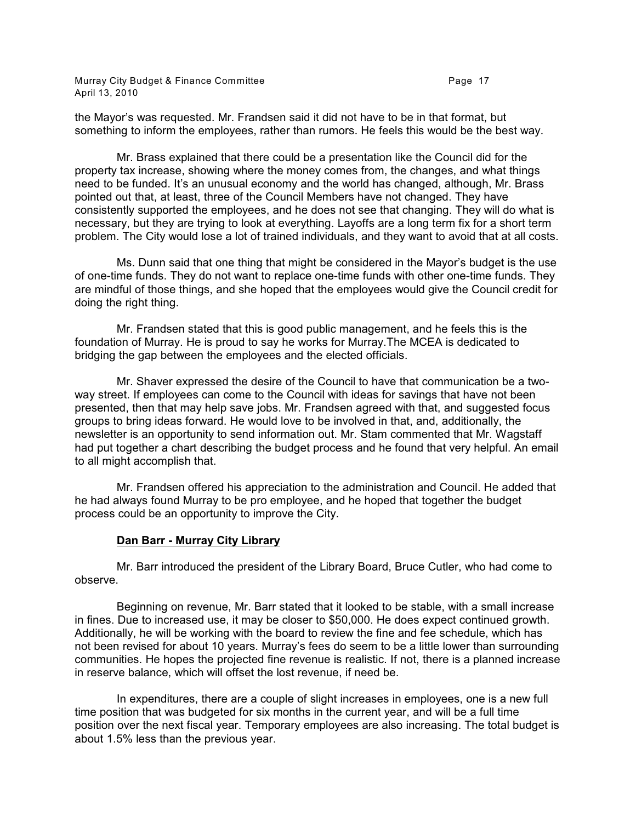Murray City Budget & Finance Committee **Page 17** Page 17 April 13, 2010

the Mayor's was requested. Mr. Frandsen said it did not have to be in that format, but something to inform the employees, rather than rumors. He feels this would be the best way.

Mr. Brass explained that there could be a presentation like the Council did for the property tax increase, showing where the money comes from, the changes, and what things need to be funded. It's an unusual economy and the world has changed, although, Mr. Brass pointed out that, at least, three of the Council Members have not changed. They have consistently supported the employees, and he does not see that changing. They will do what is necessary, but they are trying to look at everything. Layoffs are a long term fix for a short term problem. The City would lose a lot of trained individuals, and they want to avoid that at all costs.

Ms. Dunn said that one thing that might be considered in the Mayor's budget is the use of one-time funds. They do not want to replace one-time funds with other one-time funds. They are mindful of those things, and she hoped that the employees would give the Council credit for doing the right thing.

Mr. Frandsen stated that this is good public management, and he feels this is the foundation of Murray. He is proud to say he works for Murray.The MCEA is dedicated to bridging the gap between the employees and the elected officials.

Mr. Shaver expressed the desire of the Council to have that communication be a twoway street. If employees can come to the Council with ideas for savings that have not been presented, then that may help save jobs. Mr. Frandsen agreed with that, and suggested focus groups to bring ideas forward. He would love to be involved in that, and, additionally, the newsletter is an opportunity to send information out. Mr. Stam commented that Mr. Wagstaff had put together a chart describing the budget process and he found that very helpful. An email to all might accomplish that.

Mr. Frandsen offered his appreciation to the administration and Council. He added that he had always found Murray to be pro employee, and he hoped that together the budget process could be an opportunity to improve the City.

# **Dan Barr - Murray City Library**

Mr. Barr introduced the president of the Library Board, Bruce Cutler, who had come to observe.

Beginning on revenue, Mr. Barr stated that it looked to be stable, with a small increase in fines. Due to increased use, it may be closer to \$50,000. He does expect continued growth. Additionally, he will be working with the board to review the fine and fee schedule, which has not been revised for about 10 years. Murray's fees do seem to be a little lower than surrounding communities. He hopes the projected fine revenue is realistic. If not, there is a planned increase in reserve balance, which will offset the lost revenue, if need be.

In expenditures, there are a couple of slight increases in employees, one is a new full time position that was budgeted for six months in the current year, and will be a full time position over the next fiscal year. Temporary employees are also increasing. The total budget is about 1.5% less than the previous year.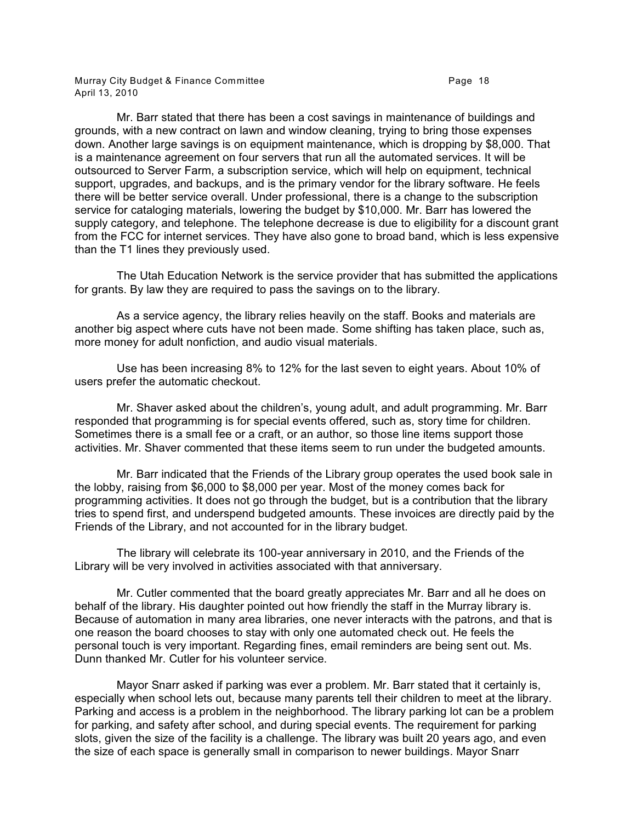Murray City Budget & Finance Committee **Page 18** Page 18 April 13, 2010

Mr. Barr stated that there has been a cost savings in maintenance of buildings and grounds, with a new contract on lawn and window cleaning, trying to bring those expenses down. Another large savings is on equipment maintenance, which is dropping by \$8,000. That is a maintenance agreement on four servers that run all the automated services. It will be outsourced to Server Farm, a subscription service, which will help on equipment, technical support, upgrades, and backups, and is the primary vendor for the library software. He feels there will be better service overall. Under professional, there is a change to the subscription service for cataloging materials, lowering the budget by \$10,000. Mr. Barr has lowered the supply category, and telephone. The telephone decrease is due to eligibility for a discount grant from the FCC for internet services. They have also gone to broad band, which is less expensive than the T1 lines they previously used.

The Utah Education Network is the service provider that has submitted the applications for grants. By law they are required to pass the savings on to the library.

As a service agency, the library relies heavily on the staff. Books and materials are another big aspect where cuts have not been made. Some shifting has taken place, such as, more money for adult nonfiction, and audio visual materials.

Use has been increasing 8% to 12% for the last seven to eight years. About 10% of users prefer the automatic checkout.

Mr. Shaver asked about the children's, young adult, and adult programming. Mr. Barr responded that programming is for special events offered, such as, story time for children. Sometimes there is a small fee or a craft, or an author, so those line items support those activities. Mr. Shaver commented that these items seem to run under the budgeted amounts.

Mr. Barr indicated that the Friends of the Library group operates the used book sale in the lobby, raising from \$6,000 to \$8,000 per year. Most of the money comes back for programming activities. It does not go through the budget, but is a contribution that the library tries to spend first, and underspend budgeted amounts. These invoices are directly paid by the Friends of the Library, and not accounted for in the library budget.

The library will celebrate its 100-year anniversary in 2010, and the Friends of the Library will be very involved in activities associated with that anniversary.

Mr. Cutler commented that the board greatly appreciates Mr. Barr and all he does on behalf of the library. His daughter pointed out how friendly the staff in the Murray library is. Because of automation in many area libraries, one never interacts with the patrons, and that is one reason the board chooses to stay with only one automated check out. He feels the personal touch is very important. Regarding fines, email reminders are being sent out. Ms. Dunn thanked Mr. Cutler for his volunteer service.

Mayor Snarr asked if parking was ever a problem. Mr. Barr stated that it certainly is, especially when school lets out, because many parents tell their children to meet at the library. Parking and access is a problem in the neighborhood. The library parking lot can be a problem for parking, and safety after school, and during special events. The requirement for parking slots, given the size of the facility is a challenge. The library was built 20 years ago, and even the size of each space is generally small in comparison to newer buildings. Mayor Snarr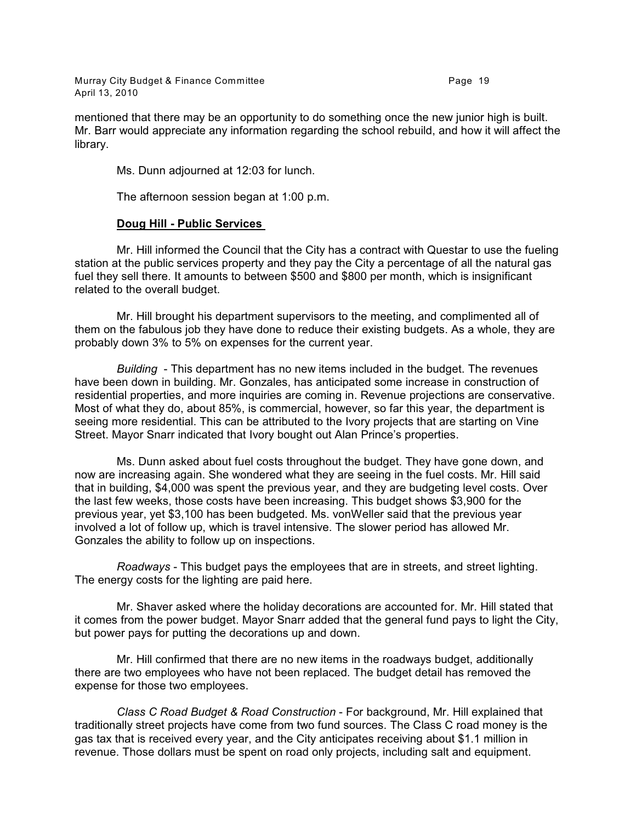Murray City Budget & Finance Committee **Page 19** Page 19 April 13, 2010

mentioned that there may be an opportunity to do something once the new junior high is built. Mr. Barr would appreciate any information regarding the school rebuild, and how it will affect the library.

Ms. Dunn adjourned at 12:03 for lunch.

The afternoon session began at 1:00 p.m.

#### **Doug Hill - Public Services**

Mr. Hill informed the Council that the City has a contract with Questar to use the fueling station at the public services property and they pay the City a percentage of all the natural gas fuel they sell there. It amounts to between \$500 and \$800 per month, which is insignificant related to the overall budget.

Mr. Hill brought his department supervisors to the meeting, and complimented all of them on the fabulous job they have done to reduce their existing budgets. As a whole, they are probably down 3% to 5% on expenses for the current year.

*Building* - This department has no new items included in the budget. The revenues have been down in building. Mr. Gonzales, has anticipated some increase in construction of residential properties, and more inquiries are coming in. Revenue projections are conservative. Most of what they do, about 85%, is commercial, however, so far this year, the department is seeing more residential. This can be attributed to the Ivory projects that are starting on Vine Street. Mayor Snarr indicated that Ivory bought out Alan Prince's properties.

Ms. Dunn asked about fuel costs throughout the budget. They have gone down, and now are increasing again. She wondered what they are seeing in the fuel costs. Mr. Hill said that in building, \$4,000 was spent the previous year, and they are budgeting level costs. Over the last few weeks, those costs have been increasing. This budget shows \$3,900 for the previous year, yet \$3,100 has been budgeted. Ms. vonWeller said that the previous year involved a lot of follow up, which is travel intensive. The slower period has allowed Mr. Gonzales the ability to follow up on inspections.

*Roadways* - This budget pays the employees that are in streets, and street lighting. The energy costs for the lighting are paid here.

Mr. Shaver asked where the holiday decorations are accounted for. Mr. Hill stated that it comes from the power budget. Mayor Snarr added that the general fund pays to light the City, but power pays for putting the decorations up and down.

Mr. Hill confirmed that there are no new items in the roadways budget, additionally there are two employees who have not been replaced. The budget detail has removed the expense for those two employees.

*Class C Road Budget & Road Construction* - For background, Mr. Hill explained that traditionally street projects have come from two fund sources. The Class C road money is the gas tax that is received every year, and the City anticipates receiving about \$1.1 million in revenue. Those dollars must be spent on road only projects, including salt and equipment.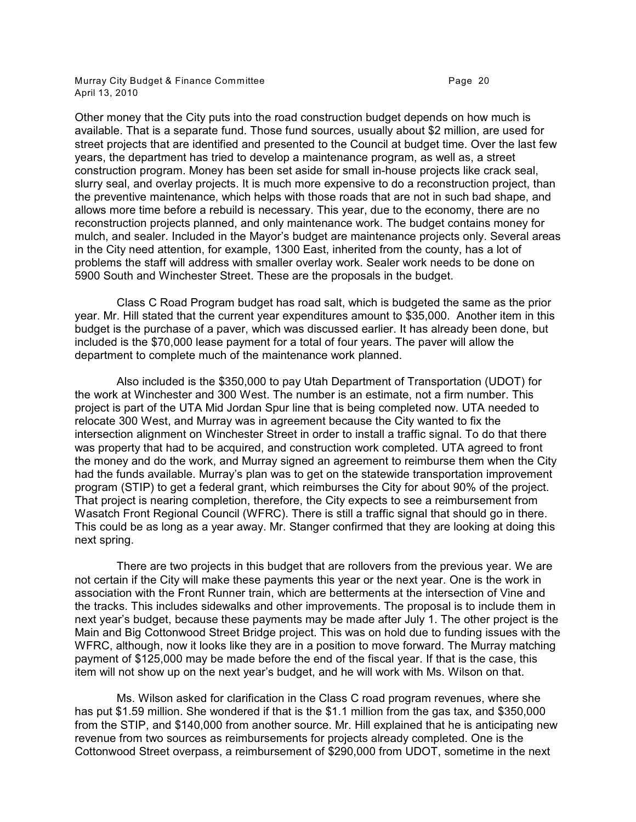Murray City Budget & Finance Committee **Page 20 Page 20** April 13, 2010

Other money that the City puts into the road construction budget depends on how much is available. That is a separate fund. Those fund sources, usually about \$2 million, are used for street projects that are identified and presented to the Council at budget time. Over the last few years, the department has tried to develop a maintenance program, as well as, a street construction program. Money has been set aside for small in-house projects like crack seal, slurry seal, and overlay projects. It is much more expensive to do a reconstruction project, than the preventive maintenance, which helps with those roads that are not in such bad shape, and allows more time before a rebuild is necessary. This year, due to the economy, there are no reconstruction projects planned, and only maintenance work. The budget contains money for mulch, and sealer. Included in the Mayor's budget are maintenance projects only. Several areas in the City need attention, for example, 1300 East, inherited from the county, has a lot of problems the staff will address with smaller overlay work. Sealer work needs to be done on 5900 South and Winchester Street. These are the proposals in the budget.

Class C Road Program budget has road salt, which is budgeted the same as the prior year. Mr. Hill stated that the current year expenditures amount to \$35,000. Another item in this budget is the purchase of a paver, which was discussed earlier. It has already been done, but included is the \$70,000 lease payment for a total of four years. The paver will allow the department to complete much of the maintenance work planned.

Also included is the \$350,000 to pay Utah Department of Transportation (UDOT) for the work at Winchester and 300 West. The number is an estimate, not a firm number. This project is part of the UTA Mid Jordan Spur line that is being completed now. UTA needed to relocate 300 West, and Murray was in agreement because the City wanted to fix the intersection alignment on Winchester Street in order to install a traffic signal. To do that there was property that had to be acquired, and construction work completed. UTA agreed to front the money and do the work, and Murray signed an agreement to reimburse them when the City had the funds available. Murray's plan was to get on the statewide transportation improvement program (STIP) to get a federal grant, which reimburses the City for about 90% of the project. That project is nearing completion, therefore, the City expects to see a reimbursement from Wasatch Front Regional Council (WFRC). There is still a traffic signal that should go in there. This could be as long as a year away. Mr. Stanger confirmed that they are looking at doing this next spring.

There are two projects in this budget that are rollovers from the previous year. We are not certain if the City will make these payments this year or the next year. One is the work in association with the Front Runner train, which are betterments at the intersection of Vine and the tracks. This includes sidewalks and other improvements. The proposal is to include them in next year's budget, because these payments may be made after July 1. The other project is the Main and Big Cottonwood Street Bridge project. This was on hold due to funding issues with the WFRC, although, now it looks like they are in a position to move forward. The Murray matching payment of \$125,000 may be made before the end of the fiscal year. If that is the case, this item will not show up on the next year's budget, and he will work with Ms. Wilson on that.

Ms. Wilson asked for clarification in the Class C road program revenues, where she has put \$1.59 million. She wondered if that is the \$1.1 million from the gas tax, and \$350,000 from the STIP, and \$140,000 from another source. Mr. Hill explained that he is anticipating new revenue from two sources as reimbursements for projects already completed. One is the Cottonwood Street overpass, a reimbursement of \$290,000 from UDOT, sometime in the next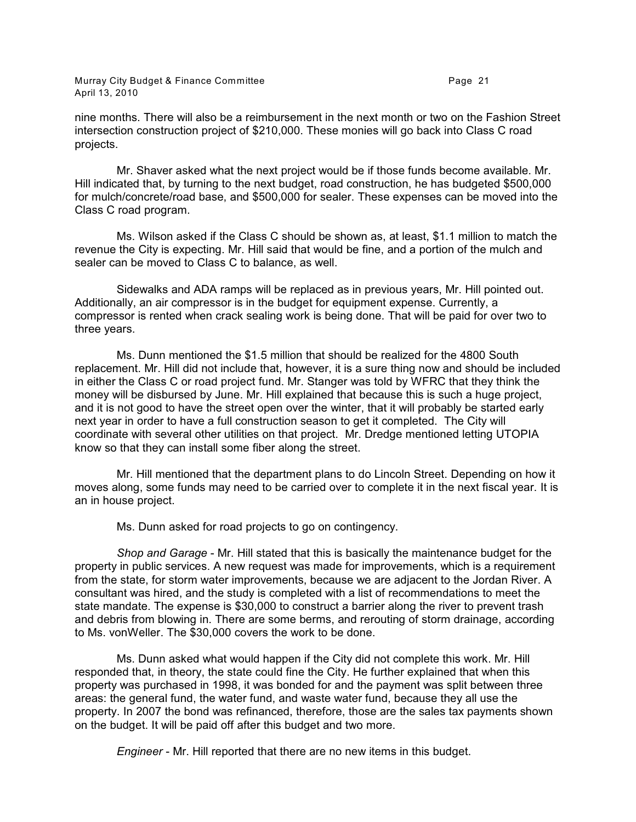Murray City Budget & Finance Committee **Page 21 Page 21** April 13, 2010

nine months. There will also be a reimbursement in the next month or two on the Fashion Street intersection construction project of \$210,000. These monies will go back into Class C road projects.

Mr. Shaver asked what the next project would be if those funds become available. Mr. Hill indicated that, by turning to the next budget, road construction, he has budgeted \$500,000 for mulch/concrete/road base, and \$500,000 for sealer. These expenses can be moved into the Class C road program.

Ms. Wilson asked if the Class C should be shown as, at least, \$1.1 million to match the revenue the City is expecting. Mr. Hill said that would be fine, and a portion of the mulch and sealer can be moved to Class C to balance, as well.

Sidewalks and ADA ramps will be replaced as in previous years, Mr. Hill pointed out. Additionally, an air compressor is in the budget for equipment expense. Currently, a compressor is rented when crack sealing work is being done. That will be paid for over two to three years.

Ms. Dunn mentioned the \$1.5 million that should be realized for the 4800 South replacement. Mr. Hill did not include that, however, it is a sure thing now and should be included in either the Class C or road project fund. Mr. Stanger was told by WFRC that they think the money will be disbursed by June. Mr. Hill explained that because this is such a huge project, and it is not good to have the street open over the winter, that it will probably be started early next year in order to have a full construction season to get it completed. The City will coordinate with several other utilities on that project. Mr. Dredge mentioned letting UTOPIA know so that they can install some fiber along the street.

Mr. Hill mentioned that the department plans to do Lincoln Street. Depending on how it moves along, some funds may need to be carried over to complete it in the next fiscal year. It is an in house project.

Ms. Dunn asked for road projects to go on contingency.

*Shop and Garage* - Mr. Hill stated that this is basically the maintenance budget for the property in public services. A new request was made for improvements, which is a requirement from the state, for storm water improvements, because we are adjacent to the Jordan River. A consultant was hired, and the study is completed with a list of recommendations to meet the state mandate. The expense is \$30,000 to construct a barrier along the river to prevent trash and debris from blowing in. There are some berms, and rerouting of storm drainage, according to Ms. vonWeller. The \$30,000 covers the work to be done.

Ms. Dunn asked what would happen if the City did not complete this work. Mr. Hill responded that, in theory, the state could fine the City. He further explained that when this property was purchased in 1998, it was bonded for and the payment was split between three areas: the general fund, the water fund, and waste water fund, because they all use the property. In 2007 the bond was refinanced, therefore, those are the sales tax payments shown on the budget. It will be paid off after this budget and two more.

*Engineer* - Mr. Hill reported that there are no new items in this budget.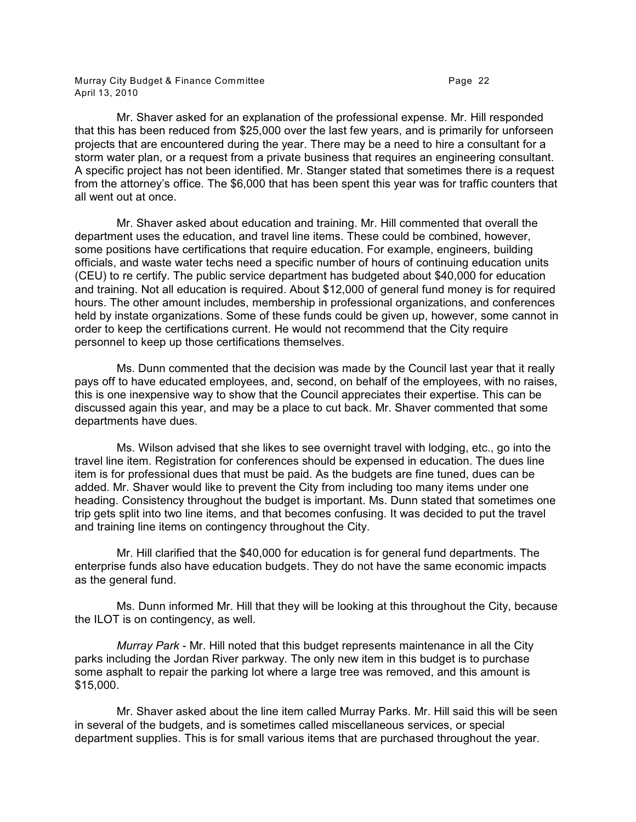Murray City Budget & Finance Committee **Page 22** Page 22 April 13, 2010

Mr. Shaver asked for an explanation of the professional expense. Mr. Hill responded that this has been reduced from \$25,000 over the last few years, and is primarily for unforseen projects that are encountered during the year. There may be a need to hire a consultant for a storm water plan, or a request from a private business that requires an engineering consultant. A specific project has not been identified. Mr. Stanger stated that sometimes there is a request from the attorney's office. The \$6,000 that has been spent this year was for traffic counters that all went out at once.

Mr. Shaver asked about education and training. Mr. Hill commented that overall the department uses the education, and travel line items. These could be combined, however, some positions have certifications that require education. For example, engineers, building officials, and waste water techs need a specific number of hours of continuing education units (CEU) to re certify. The public service department has budgeted about \$40,000 for education and training. Not all education is required. About \$12,000 of general fund money is for required hours. The other amount includes, membership in professional organizations, and conferences held by instate organizations. Some of these funds could be given up, however, some cannot in order to keep the certifications current. He would not recommend that the City require personnel to keep up those certifications themselves.

Ms. Dunn commented that the decision was made by the Council last year that it really pays off to have educated employees, and, second, on behalf of the employees, with no raises, this is one inexpensive way to show that the Council appreciates their expertise. This can be discussed again this year, and may be a place to cut back. Mr. Shaver commented that some departments have dues.

Ms. Wilson advised that she likes to see overnight travel with lodging, etc., go into the travel line item. Registration for conferences should be expensed in education. The dues line item is for professional dues that must be paid. As the budgets are fine tuned, dues can be added. Mr. Shaver would like to prevent the City from including too many items under one heading. Consistency throughout the budget is important. Ms. Dunn stated that sometimes one trip gets split into two line items, and that becomes confusing. It was decided to put the travel and training line items on contingency throughout the City.

Mr. Hill clarified that the \$40,000 for education is for general fund departments. The enterprise funds also have education budgets. They do not have the same economic impacts as the general fund.

Ms. Dunn informed Mr. Hill that they will be looking at this throughout the City, because the ILOT is on contingency, as well.

*Murray Park* - Mr. Hill noted that this budget represents maintenance in all the City parks including the Jordan River parkway. The only new item in this budget is to purchase some asphalt to repair the parking lot where a large tree was removed, and this amount is \$15,000.

Mr. Shaver asked about the line item called Murray Parks. Mr. Hill said this will be seen in several of the budgets, and is sometimes called miscellaneous services, or special department supplies. This is for small various items that are purchased throughout the year.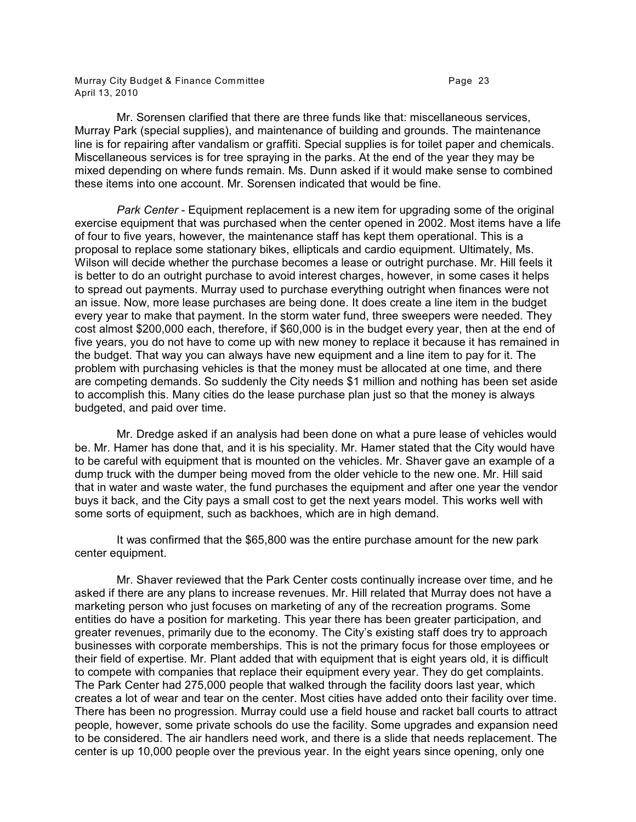Murray City Budget & Finance Committee **Page 23** Page 23 April 13, 2010

Mr. Sorensen clarified that there are three funds like that: miscellaneous services, Murray Park (special supplies), and maintenance of building and grounds. The maintenance line is for repairing after vandalism or graffiti. Special supplies is for toilet paper and chemicals. Miscellaneous services is for tree spraying in the parks. At the end of the year they may be mixed depending on where funds remain. Ms. Dunn asked if it would make sense to combined these items into one account. Mr. Sorensen indicated that would be fine.

*Park Center* - Equipment replacement is a new item for upgrading some of the original exercise equipment that was purchased when the center opened in 2002. Most items have a life of four to five years, however, the maintenance staff has kept them operational. This is a proposal to replace some stationary bikes, ellipticals and cardio equipment. Ultimately, Ms. Wilson will decide whether the purchase becomes a lease or outright purchase. Mr. Hill feels it is better to do an outright purchase to avoid interest charges, however, in some cases it helps to spread out payments. Murray used to purchase everything outright when finances were not an issue. Now, more lease purchases are being done. It does create a line item in the budget every year to make that payment. In the storm water fund, three sweepers were needed. They cost almost \$200,000 each, therefore, if \$60,000 is in the budget every year, then at the end of five years, you do not have to come up with new money to replace it because it has remained in the budget. That way you can always have new equipment and a line item to pay for it. The problem with purchasing vehicles is that the money must be allocated at one time, and there are competing demands. So suddenly the City needs \$1 million and nothing has been set aside to accomplish this. Many cities do the lease purchase plan just so that the money is always budgeted, and paid over time.

Mr. Dredge asked if an analysis had been done on what a pure lease of vehicles would be. Mr. Hamer has done that, and it is his speciality. Mr. Hamer stated that the City would have to be careful with equipment that is mounted on the vehicles. Mr. Shaver gave an example of a dump truck with the dumper being moved from the older vehicle to the new one. Mr. Hill said that in water and waste water, the fund purchases the equipment and after one year the vendor buys it back, and the City pays a small cost to get the next years model. This works well with some sorts of equipment, such as backhoes, which are in high demand.

It was confirmed that the \$65,800 was the entire purchase amount for the new park center equipment.

Mr. Shaver reviewed that the Park Center costs continually increase over time, and he asked if there are any plans to increase revenues. Mr. Hill related that Murray does not have a marketing person who just focuses on marketing of any of the recreation programs. Some entities do have a position for marketing. This year there has been greater participation, and greater revenues, primarily due to the economy. The City's existing staff does try to approach businesses with corporate memberships. This is not the primary focus for those employees or their field of expertise. Mr. Plant added that with equipment that is eight years old, it is difficult to compete with companies that replace their equipment every year. They do get complaints. The Park Center had 275,000 people that walked through the facility doors last year, which creates a lot of wear and tear on the center. Most cities have added onto their facility over time. There has been no progression. Murray could use a field house and racket ball courts to attract people, however, some private schools do use the facility. Some upgrades and expansion need to be considered. The air handlers need work, and there is a slide that needs replacement. The center is up 10,000 people over the previous year. In the eight years since opening, only one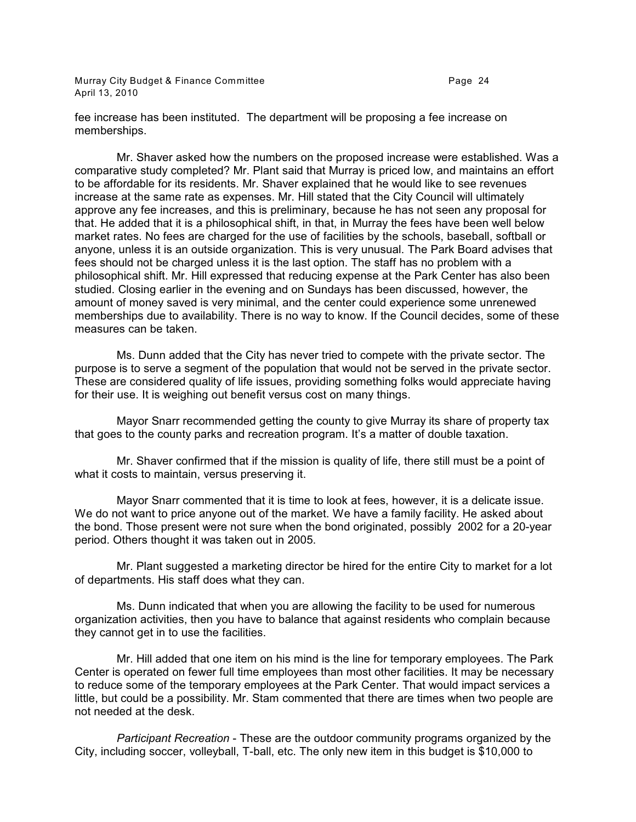Murray City Budget & Finance Committee **Page 24** Page 24 April 13, 2010

fee increase has been instituted. The department will be proposing a fee increase on memberships.

Mr. Shaver asked how the numbers on the proposed increase were established. Was a comparative study completed? Mr. Plant said that Murray is priced low, and maintains an effort to be affordable for its residents. Mr. Shaver explained that he would like to see revenues increase at the same rate as expenses. Mr. Hill stated that the City Council will ultimately approve any fee increases, and this is preliminary, because he has not seen any proposal for that. He added that it is a philosophical shift, in that, in Murray the fees have been well below market rates. No fees are charged for the use of facilities by the schools, baseball, softball or anyone, unless it is an outside organization. This is very unusual. The Park Board advises that fees should not be charged unless it is the last option. The staff has no problem with a philosophical shift. Mr. Hill expressed that reducing expense at the Park Center has also been studied. Closing earlier in the evening and on Sundays has been discussed, however, the amount of money saved is very minimal, and the center could experience some unrenewed memberships due to availability. There is no way to know. If the Council decides, some of these measures can be taken.

Ms. Dunn added that the City has never tried to compete with the private sector. The purpose is to serve a segment of the population that would not be served in the private sector. These are considered quality of life issues, providing something folks would appreciate having for their use. It is weighing out benefit versus cost on many things.

Mayor Snarr recommended getting the county to give Murray its share of property tax that goes to the county parks and recreation program. It's a matter of double taxation.

Mr. Shaver confirmed that if the mission is quality of life, there still must be a point of what it costs to maintain, versus preserving it.

Mayor Snarr commented that it is time to look at fees, however, it is a delicate issue. We do not want to price anyone out of the market. We have a family facility. He asked about the bond. Those present were not sure when the bond originated, possibly 2002 for a 20-year period. Others thought it was taken out in 2005.

Mr. Plant suggested a marketing director be hired for the entire City to market for a lot of departments. His staff does what they can.

Ms. Dunn indicated that when you are allowing the facility to be used for numerous organization activities, then you have to balance that against residents who complain because they cannot get in to use the facilities.

Mr. Hill added that one item on his mind is the line for temporary employees. The Park Center is operated on fewer full time employees than most other facilities. It may be necessary to reduce some of the temporary employees at the Park Center. That would impact services a little, but could be a possibility. Mr. Stam commented that there are times when two people are not needed at the desk.

*Participant Recreation* - These are the outdoor community programs organized by the City, including soccer, volleyball, T-ball, etc. The only new item in this budget is \$10,000 to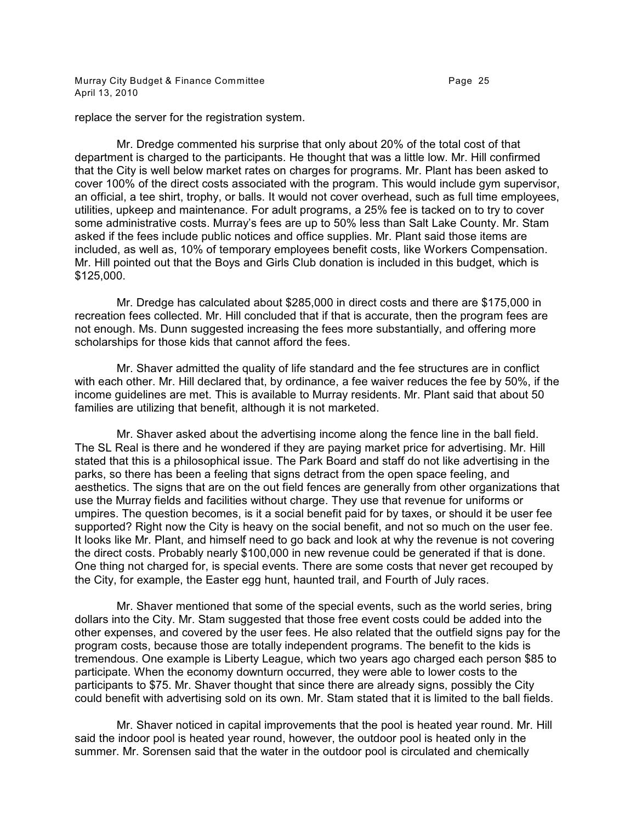Murray City Budget & Finance Committee **Page 25** Page 25 April 13, 2010

replace the server for the registration system.

Mr. Dredge commented his surprise that only about 20% of the total cost of that department is charged to the participants. He thought that was a little low. Mr. Hill confirmed that the City is well below market rates on charges for programs. Mr. Plant has been asked to cover 100% of the direct costs associated with the program. This would include gym supervisor, an official, a tee shirt, trophy, or balls. It would not cover overhead, such as full time employees, utilities, upkeep and maintenance. For adult programs, a 25% fee is tacked on to try to cover some administrative costs. Murray's fees are up to 50% less than Salt Lake County. Mr. Stam asked if the fees include public notices and office supplies. Mr. Plant said those items are included, as well as, 10% of temporary employees benefit costs, like Workers Compensation. Mr. Hill pointed out that the Boys and Girls Club donation is included in this budget, which is \$125,000.

Mr. Dredge has calculated about \$285,000 in direct costs and there are \$175,000 in recreation fees collected. Mr. Hill concluded that if that is accurate, then the program fees are not enough. Ms. Dunn suggested increasing the fees more substantially, and offering more scholarships for those kids that cannot afford the fees.

Mr. Shaver admitted the quality of life standard and the fee structures are in conflict with each other. Mr. Hill declared that, by ordinance, a fee waiver reduces the fee by 50%, if the income guidelines are met. This is available to Murray residents. Mr. Plant said that about 50 families are utilizing that benefit, although it is not marketed.

Mr. Shaver asked about the advertising income along the fence line in the ball field. The SL Real is there and he wondered if they are paying market price for advertising. Mr. Hill stated that this is a philosophical issue. The Park Board and staff do not like advertising in the parks, so there has been a feeling that signs detract from the open space feeling, and aesthetics. The signs that are on the out field fences are generally from other organizations that use the Murray fields and facilities without charge. They use that revenue for uniforms or umpires. The question becomes, is it a social benefit paid for by taxes, or should it be user fee supported? Right now the City is heavy on the social benefit, and not so much on the user fee. It looks like Mr. Plant, and himself need to go back and look at why the revenue is not covering the direct costs. Probably nearly \$100,000 in new revenue could be generated if that is done. One thing not charged for, is special events. There are some costs that never get recouped by the City, for example, the Easter egg hunt, haunted trail, and Fourth of July races.

Mr. Shaver mentioned that some of the special events, such as the world series, bring dollars into the City. Mr. Stam suggested that those free event costs could be added into the other expenses, and covered by the user fees. He also related that the outfield signs pay for the program costs, because those are totally independent programs. The benefit to the kids is tremendous. One example is Liberty League, which two years ago charged each person \$85 to participate. When the economy downturn occurred, they were able to lower costs to the participants to \$75. Mr. Shaver thought that since there are already signs, possibly the City could benefit with advertising sold on its own. Mr. Stam stated that it is limited to the ball fields.

Mr. Shaver noticed in capital improvements that the pool is heated year round. Mr. Hill said the indoor pool is heated year round, however, the outdoor pool is heated only in the summer. Mr. Sorensen said that the water in the outdoor pool is circulated and chemically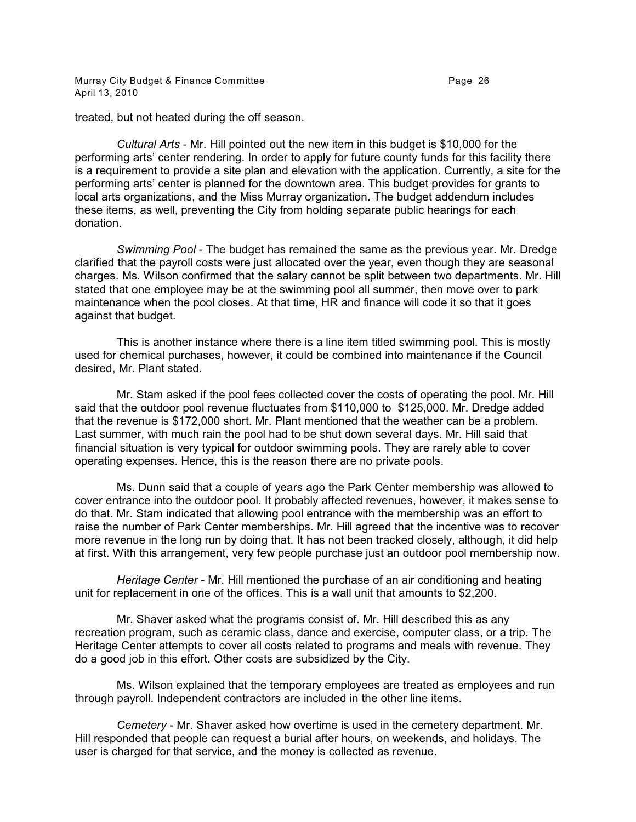Murray City Budget & Finance Committee **Page 26** Page 26 April 13, 2010

treated, but not heated during the off season.

*Cultural Arts* - Mr. Hill pointed out the new item in this budget is \$10,000 for the performing arts' center rendering. In order to apply for future county funds for this facility there is a requirement to provide a site plan and elevation with the application. Currently, a site for the performing arts' center is planned for the downtown area. This budget provides for grants to local arts organizations, and the Miss Murray organization. The budget addendum includes these items, as well, preventing the City from holding separate public hearings for each donation.

*Swimming Pool* - The budget has remained the same as the previous year. Mr. Dredge clarified that the payroll costs were just allocated over the year, even though they are seasonal charges. Ms. Wilson confirmed that the salary cannot be split between two departments. Mr. Hill stated that one employee may be at the swimming pool all summer, then move over to park maintenance when the pool closes. At that time, HR and finance will code it so that it goes against that budget.

This is another instance where there is a line item titled swimming pool. This is mostly used for chemical purchases, however, it could be combined into maintenance if the Council desired, Mr. Plant stated.

Mr. Stam asked if the pool fees collected cover the costs of operating the pool. Mr. Hill said that the outdoor pool revenue fluctuates from \$110,000 to \$125,000. Mr. Dredge added that the revenue is \$172,000 short. Mr. Plant mentioned that the weather can be a problem. Last summer, with much rain the pool had to be shut down several days. Mr. Hill said that financial situation is very typical for outdoor swimming pools. They are rarely able to cover operating expenses. Hence, this is the reason there are no private pools.

Ms. Dunn said that a couple of years ago the Park Center membership was allowed to cover entrance into the outdoor pool. It probably affected revenues, however, it makes sense to do that. Mr. Stam indicated that allowing pool entrance with the membership was an effort to raise the number of Park Center memberships. Mr. Hill agreed that the incentive was to recover more revenue in the long run by doing that. It has not been tracked closely, although, it did help at first. With this arrangement, very few people purchase just an outdoor pool membership now.

*Heritage Center* - Mr. Hill mentioned the purchase of an air conditioning and heating unit for replacement in one of the offices. This is a wall unit that amounts to \$2,200.

Mr. Shaver asked what the programs consist of. Mr. Hill described this as any recreation program, such as ceramic class, dance and exercise, computer class, or a trip. The Heritage Center attempts to cover all costs related to programs and meals with revenue. They do a good job in this effort. Other costs are subsidized by the City.

Ms. Wilson explained that the temporary employees are treated as employees and run through payroll. Independent contractors are included in the other line items.

*Cemetery* - Mr. Shaver asked how overtime is used in the cemetery department. Mr. Hill responded that people can request a burial after hours, on weekends, and holidays. The user is charged for that service, and the money is collected as revenue.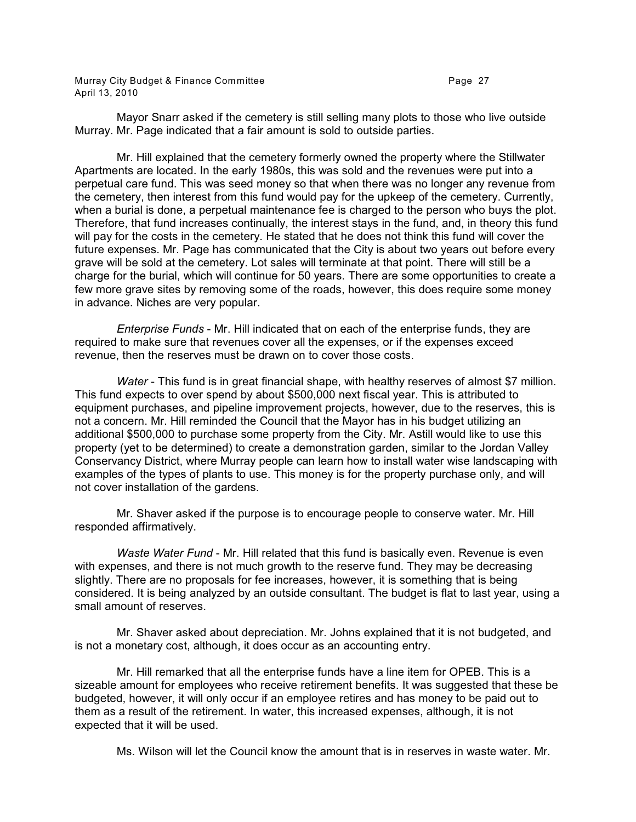Murray City Budget & Finance Committee **Page 27 Page 27** April 13, 2010

Mayor Snarr asked if the cemetery is still selling many plots to those who live outside Murray. Mr. Page indicated that a fair amount is sold to outside parties.

Mr. Hill explained that the cemetery formerly owned the property where the Stillwater Apartments are located. In the early 1980s, this was sold and the revenues were put into a perpetual care fund. This was seed money so that when there was no longer any revenue from the cemetery, then interest from this fund would pay for the upkeep of the cemetery. Currently, when a burial is done, a perpetual maintenance fee is charged to the person who buys the plot. Therefore, that fund increases continually, the interest stays in the fund, and, in theory this fund will pay for the costs in the cemetery. He stated that he does not think this fund will cover the future expenses. Mr. Page has communicated that the City is about two years out before every grave will be sold at the cemetery. Lot sales will terminate at that point. There will still be a charge for the burial, which will continue for 50 years. There are some opportunities to create a few more grave sites by removing some of the roads, however, this does require some money in advance. Niches are very popular.

*Enterprise Funds* - Mr. Hill indicated that on each of the enterprise funds, they are required to make sure that revenues cover all the expenses, or if the expenses exceed revenue, then the reserves must be drawn on to cover those costs.

*Water* - This fund is in great financial shape, with healthy reserves of almost \$7 million. This fund expects to over spend by about \$500,000 next fiscal year. This is attributed to equipment purchases, and pipeline improvement projects, however, due to the reserves, this is not a concern. Mr. Hill reminded the Council that the Mayor has in his budget utilizing an additional \$500,000 to purchase some property from the City. Mr. Astill would like to use this property (yet to be determined) to create a demonstration garden, similar to the Jordan Valley Conservancy District, where Murray people can learn how to install water wise landscaping with examples of the types of plants to use. This money is for the property purchase only, and will not cover installation of the gardens.

Mr. Shaver asked if the purpose is to encourage people to conserve water. Mr. Hill responded affirmatively.

*Waste Water Fund* - Mr. Hill related that this fund is basically even. Revenue is even with expenses, and there is not much growth to the reserve fund. They may be decreasing slightly. There are no proposals for fee increases, however, it is something that is being considered. It is being analyzed by an outside consultant. The budget is flat to last year, using a small amount of reserves.

Mr. Shaver asked about depreciation. Mr. Johns explained that it is not budgeted, and is not a monetary cost, although, it does occur as an accounting entry.

Mr. Hill remarked that all the enterprise funds have a line item for OPEB. This is a sizeable amount for employees who receive retirement benefits. It was suggested that these be budgeted, however, it will only occur if an employee retires and has money to be paid out to them as a result of the retirement. In water, this increased expenses, although, it is not expected that it will be used.

Ms. Wilson will let the Council know the amount that is in reserves in waste water. Mr.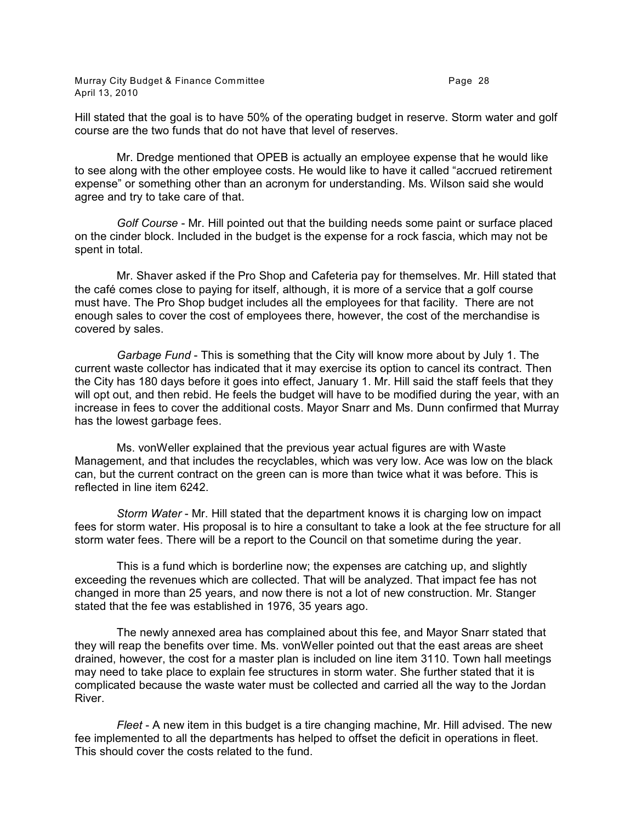Hill stated that the goal is to have 50% of the operating budget in reserve. Storm water and golf course are the two funds that do not have that level of reserves.

Mr. Dredge mentioned that OPEB is actually an employee expense that he would like to see along with the other employee costs. He would like to have it called "accrued retirement expense" or something other than an acronym for understanding. Ms. Wilson said she would agree and try to take care of that.

*Golf Course* - Mr. Hill pointed out that the building needs some paint or surface placed on the cinder block. Included in the budget is the expense for a rock fascia, which may not be spent in total.

Mr. Shaver asked if the Pro Shop and Cafeteria pay for themselves. Mr. Hill stated that the café comes close to paying for itself, although, it is more of a service that a golf course must have. The Pro Shop budget includes all the employees for that facility. There are not enough sales to cover the cost of employees there, however, the cost of the merchandise is covered by sales.

*Garbage Fund* - This is something that the City will know more about by July 1. The current waste collector has indicated that it may exercise its option to cancel its contract. Then the City has 180 days before it goes into effect, January 1. Mr. Hill said the staff feels that they will opt out, and then rebid. He feels the budget will have to be modified during the year, with an increase in fees to cover the additional costs. Mayor Snarr and Ms. Dunn confirmed that Murray has the lowest garbage fees.

Ms. vonWeller explained that the previous year actual figures are with Waste Management, and that includes the recyclables, which was very low. Ace was low on the black can, but the current contract on the green can is more than twice what it was before. This is reflected in line item 6242.

*Storm Water* - Mr. Hill stated that the department knows it is charging low on impact fees for storm water. His proposal is to hire a consultant to take a look at the fee structure for all storm water fees. There will be a report to the Council on that sometime during the year.

This is a fund which is borderline now; the expenses are catching up, and slightly exceeding the revenues which are collected. That will be analyzed. That impact fee has not changed in more than 25 years, and now there is not a lot of new construction. Mr. Stanger stated that the fee was established in 1976, 35 years ago.

The newly annexed area has complained about this fee, and Mayor Snarr stated that they will reap the benefits over time. Ms. vonWeller pointed out that the east areas are sheet drained, however, the cost for a master plan is included on line item 3110. Town hall meetings may need to take place to explain fee structures in storm water. She further stated that it is complicated because the waste water must be collected and carried all the way to the Jordan River.

*Fleet* - A new item in this budget is a tire changing machine, Mr. Hill advised. The new fee implemented to all the departments has helped to offset the deficit in operations in fleet. This should cover the costs related to the fund.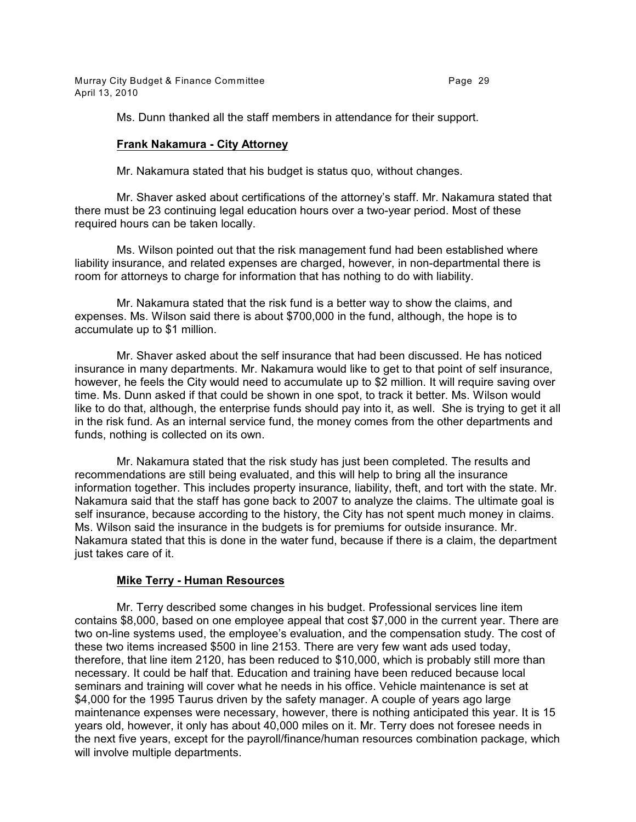Murray City Budget & Finance Committee **Page 29** Page 29 April 13, 2010

Ms. Dunn thanked all the staff members in attendance for their support.

# **Frank Nakamura - City Attorney**

Mr. Nakamura stated that his budget is status quo, without changes.

Mr. Shaver asked about certifications of the attorney's staff. Mr. Nakamura stated that there must be 23 continuing legal education hours over a two-year period. Most of these required hours can be taken locally.

Ms. Wilson pointed out that the risk management fund had been established where liability insurance, and related expenses are charged, however, in non-departmental there is room for attorneys to charge for information that has nothing to do with liability.

Mr. Nakamura stated that the risk fund is a better way to show the claims, and expenses. Ms. Wilson said there is about \$700,000 in the fund, although, the hope is to accumulate up to \$1 million.

Mr. Shaver asked about the self insurance that had been discussed. He has noticed insurance in many departments. Mr. Nakamura would like to get to that point of self insurance, however, he feels the City would need to accumulate up to \$2 million. It will require saving over time. Ms. Dunn asked if that could be shown in one spot, to track it better. Ms. Wilson would like to do that, although, the enterprise funds should pay into it, as well. She is trying to get it all in the risk fund. As an internal service fund, the money comes from the other departments and funds, nothing is collected on its own.

Mr. Nakamura stated that the risk study has just been completed. The results and recommendations are still being evaluated, and this will help to bring all the insurance information together. This includes property insurance, liability, theft, and tort with the state. Mr. Nakamura said that the staff has gone back to 2007 to analyze the claims. The ultimate goal is self insurance, because according to the history, the City has not spent much money in claims. Ms. Wilson said the insurance in the budgets is for premiums for outside insurance. Mr. Nakamura stated that this is done in the water fund, because if there is a claim, the department just takes care of it.

# **Mike Terry - Human Resources**

Mr. Terry described some changes in his budget. Professional services line item contains \$8,000, based on one employee appeal that cost \$7,000 in the current year. There are two on-line systems used, the employee's evaluation, and the compensation study. The cost of these two items increased \$500 in line 2153. There are very few want ads used today, therefore, that line item 2120, has been reduced to \$10,000, which is probably still more than necessary. It could be half that. Education and training have been reduced because local seminars and training will cover what he needs in his office. Vehicle maintenance is set at \$4,000 for the 1995 Taurus driven by the safety manager. A couple of years ago large maintenance expenses were necessary, however, there is nothing anticipated this year. It is 15 years old, however, it only has about 40,000 miles on it. Mr. Terry does not foresee needs in the next five years, except for the payroll/finance/human resources combination package, which will involve multiple departments.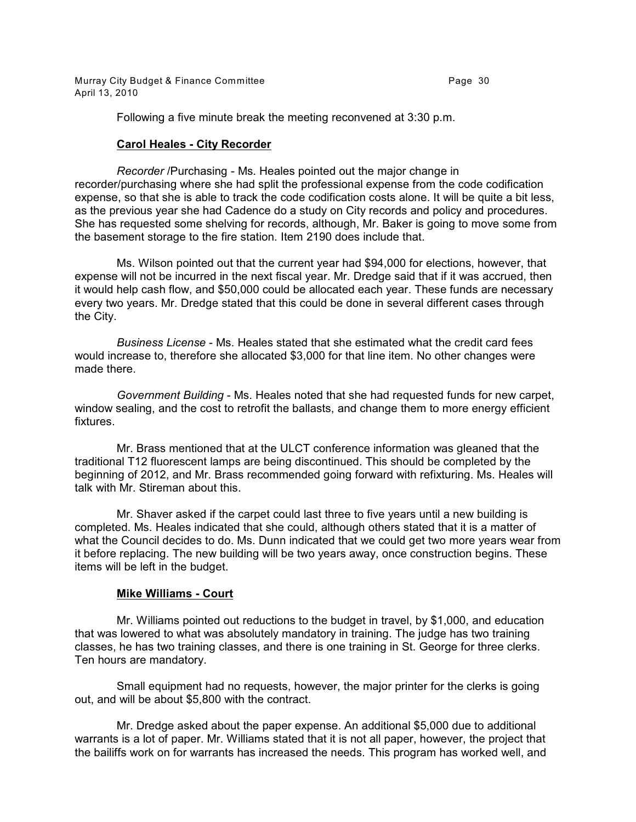Murray City Budget & Finance Committee **Page 30** Page 30 April 13, 2010

Following a five minute break the meeting reconvened at 3:30 p.m.

# **Carol Heales - City Recorder**

*Recorder* /Purchasing - Ms. Heales pointed out the major change in recorder/purchasing where she had split the professional expense from the code codification expense, so that she is able to track the code codification costs alone. It will be quite a bit less, as the previous year she had Cadence do a study on City records and policy and procedures. She has requested some shelving for records, although, Mr. Baker is going to move some from the basement storage to the fire station. Item 2190 does include that.

Ms. Wilson pointed out that the current year had \$94,000 for elections, however, that expense will not be incurred in the next fiscal year. Mr. Dredge said that if it was accrued, then it would help cash flow, and \$50,000 could be allocated each year. These funds are necessary every two years. Mr. Dredge stated that this could be done in several different cases through the City.

*Business License* - Ms. Heales stated that she estimated what the credit card fees would increase to, therefore she allocated \$3,000 for that line item. No other changes were made there.

*Government Building* - Ms. Heales noted that she had requested funds for new carpet, window sealing, and the cost to retrofit the ballasts, and change them to more energy efficient fixtures.

Mr. Brass mentioned that at the ULCT conference information was gleaned that the traditional T12 fluorescent lamps are being discontinued. This should be completed by the beginning of 2012, and Mr. Brass recommended going forward with refixturing. Ms. Heales will talk with Mr. Stireman about this.

Mr. Shaver asked if the carpet could last three to five years until a new building is completed. Ms. Heales indicated that she could, although others stated that it is a matter of what the Council decides to do. Ms. Dunn indicated that we could get two more years wear from it before replacing. The new building will be two years away, once construction begins. These items will be left in the budget.

# **Mike Williams - Court**

Mr. Williams pointed out reductions to the budget in travel, by \$1,000, and education that was lowered to what was absolutely mandatory in training. The judge has two training classes, he has two training classes, and there is one training in St. George for three clerks. Ten hours are mandatory.

Small equipment had no requests, however, the major printer for the clerks is going out, and will be about \$5,800 with the contract.

Mr. Dredge asked about the paper expense. An additional \$5,000 due to additional warrants is a lot of paper. Mr. Williams stated that it is not all paper, however, the project that the bailiffs work on for warrants has increased the needs. This program has worked well, and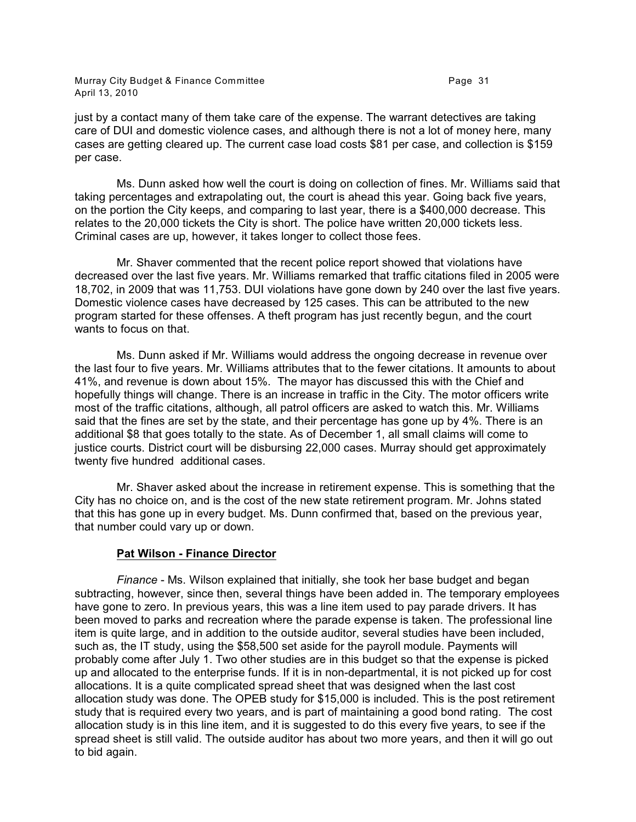Murray City Budget & Finance Committee **Page 31** Page 31 April 13, 2010

just by a contact many of them take care of the expense. The warrant detectives are taking care of DUI and domestic violence cases, and although there is not a lot of money here, many cases are getting cleared up. The current case load costs \$81 per case, and collection is \$159 per case.

Ms. Dunn asked how well the court is doing on collection of fines. Mr. Williams said that taking percentages and extrapolating out, the court is ahead this year. Going back five years, on the portion the City keeps, and comparing to last year, there is a \$400,000 decrease. This relates to the 20,000 tickets the City is short. The police have written 20,000 tickets less. Criminal cases are up, however, it takes longer to collect those fees.

Mr. Shaver commented that the recent police report showed that violations have decreased over the last five years. Mr. Williams remarked that traffic citations filed in 2005 were 18,702, in 2009 that was 11,753. DUI violations have gone down by 240 over the last five years. Domestic violence cases have decreased by 125 cases. This can be attributed to the new program started for these offenses. A theft program has just recently begun, and the court wants to focus on that.

Ms. Dunn asked if Mr. Williams would address the ongoing decrease in revenue over the last four to five years. Mr. Williams attributes that to the fewer citations. It amounts to about 41%, and revenue is down about 15%. The mayor has discussed this with the Chief and hopefully things will change. There is an increase in traffic in the City. The motor officers write most of the traffic citations, although, all patrol officers are asked to watch this. Mr. Williams said that the fines are set by the state, and their percentage has gone up by 4%. There is an additional \$8 that goes totally to the state. As of December 1, all small claims will come to justice courts. District court will be disbursing 22,000 cases. Murray should get approximately twenty five hundred additional cases.

Mr. Shaver asked about the increase in retirement expense. This is something that the City has no choice on, and is the cost of the new state retirement program. Mr. Johns stated that this has gone up in every budget. Ms. Dunn confirmed that, based on the previous year, that number could vary up or down.

# **Pat Wilson - Finance Director**

*Finance* - Ms. Wilson explained that initially, she took her base budget and began subtracting, however, since then, several things have been added in. The temporary employees have gone to zero. In previous years, this was a line item used to pay parade drivers. It has been moved to parks and recreation where the parade expense is taken. The professional line item is quite large, and in addition to the outside auditor, several studies have been included, such as, the IT study, using the \$58,500 set aside for the payroll module. Payments will probably come after July 1. Two other studies are in this budget so that the expense is picked up and allocated to the enterprise funds. If it is in non-departmental, it is not picked up for cost allocations. It is a quite complicated spread sheet that was designed when the last cost allocation study was done. The OPEB study for \$15,000 is included. This is the post retirement study that is required every two years, and is part of maintaining a good bond rating. The cost allocation study is in this line item, and it is suggested to do this every five years, to see if the spread sheet is still valid. The outside auditor has about two more years, and then it will go out to bid again.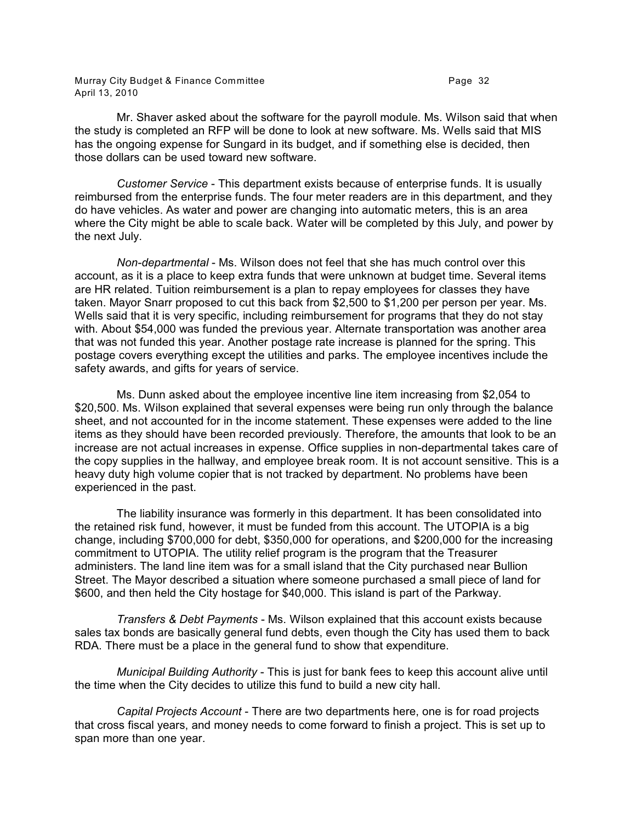Murray City Budget & Finance Committee **Page 32** Page 32 April 13, 2010

Mr. Shaver asked about the software for the payroll module. Ms. Wilson said that when the study is completed an RFP will be done to look at new software. Ms. Wells said that MIS has the ongoing expense for Sungard in its budget, and if something else is decided, then those dollars can be used toward new software.

*Customer Service* - This department exists because of enterprise funds. It is usually reimbursed from the enterprise funds. The four meter readers are in this department, and they do have vehicles. As water and power are changing into automatic meters, this is an area where the City might be able to scale back. Water will be completed by this July, and power by the next July.

*Non-departmental* - Ms. Wilson does not feel that she has much control over this account, as it is a place to keep extra funds that were unknown at budget time. Several items are HR related. Tuition reimbursement is a plan to repay employees for classes they have taken. Mayor Snarr proposed to cut this back from \$2,500 to \$1,200 per person per year. Ms. Wells said that it is very specific, including reimbursement for programs that they do not stay with. About \$54,000 was funded the previous year. Alternate transportation was another area that was not funded this year. Another postage rate increase is planned for the spring. This postage covers everything except the utilities and parks. The employee incentives include the safety awards, and gifts for years of service.

Ms. Dunn asked about the employee incentive line item increasing from \$2,054 to \$20,500. Ms. Wilson explained that several expenses were being run only through the balance sheet, and not accounted for in the income statement. These expenses were added to the line items as they should have been recorded previously. Therefore, the amounts that look to be an increase are not actual increases in expense. Office supplies in non-departmental takes care of the copy supplies in the hallway, and employee break room. It is not account sensitive. This is a heavy duty high volume copier that is not tracked by department. No problems have been experienced in the past.

The liability insurance was formerly in this department. It has been consolidated into the retained risk fund, however, it must be funded from this account. The UTOPIA is a big change, including \$700,000 for debt, \$350,000 for operations, and \$200,000 for the increasing commitment to UTOPIA. The utility relief program is the program that the Treasurer administers. The land line item was for a small island that the City purchased near Bullion Street. The Mayor described a situation where someone purchased a small piece of land for \$600, and then held the City hostage for \$40,000. This island is part of the Parkway.

*Transfers & Debt Payments* - Ms. Wilson explained that this account exists because sales tax bonds are basically general fund debts, even though the City has used them to back RDA. There must be a place in the general fund to show that expenditure.

*Municipal Building Authority* - This is just for bank fees to keep this account alive until the time when the City decides to utilize this fund to build a new city hall.

*Capital Projects Account* - There are two departments here, one is for road projects that cross fiscal years, and money needs to come forward to finish a project. This is set up to span more than one year.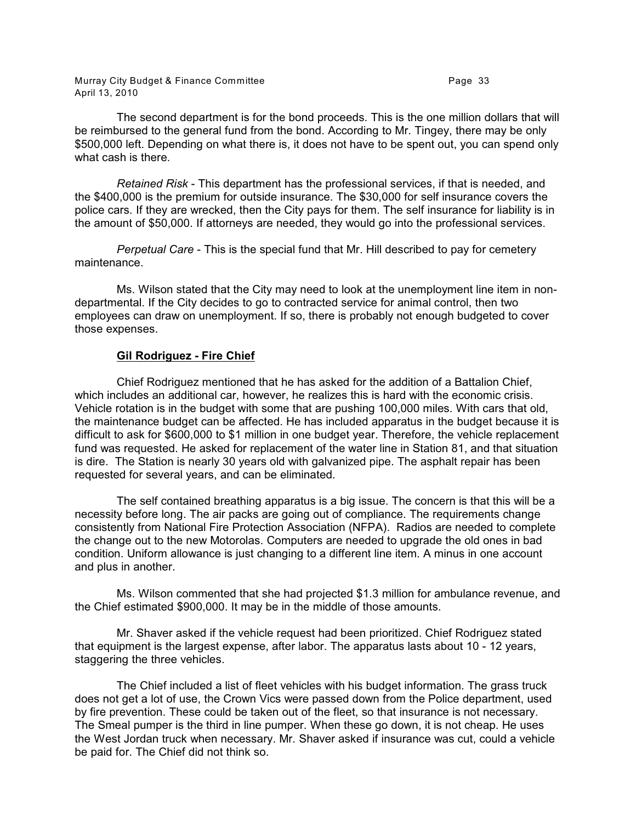Murray City Budget & Finance Committee **Page 33** Page 33 April 13, 2010

The second department is for the bond proceeds. This is the one million dollars that will be reimbursed to the general fund from the bond. According to Mr. Tingey, there may be only \$500,000 left. Depending on what there is, it does not have to be spent out, you can spend only what cash is there.

*Retained Risk* - This department has the professional services, if that is needed, and the \$400,000 is the premium for outside insurance. The \$30,000 for self insurance covers the police cars. If they are wrecked, then the City pays for them. The self insurance for liability is in the amount of \$50,000. If attorneys are needed, they would go into the professional services.

*Perpetual Care* - This is the special fund that Mr. Hill described to pay for cemetery maintenance.

Ms. Wilson stated that the City may need to look at the unemployment line item in nondepartmental. If the City decides to go to contracted service for animal control, then two employees can draw on unemployment. If so, there is probably not enough budgeted to cover those expenses.

#### **Gil Rodriguez - Fire Chief**

Chief Rodriguez mentioned that he has asked for the addition of a Battalion Chief, which includes an additional car, however, he realizes this is hard with the economic crisis. Vehicle rotation is in the budget with some that are pushing 100,000 miles. With cars that old, the maintenance budget can be affected. He has included apparatus in the budget because it is difficult to ask for \$600,000 to \$1 million in one budget year. Therefore, the vehicle replacement fund was requested. He asked for replacement of the water line in Station 81, and that situation is dire. The Station is nearly 30 years old with galvanized pipe. The asphalt repair has been requested for several years, and can be eliminated.

The self contained breathing apparatus is a big issue. The concern is that this will be a necessity before long. The air packs are going out of compliance. The requirements change consistently from National Fire Protection Association (NFPA). Radios are needed to complete the change out to the new Motorolas. Computers are needed to upgrade the old ones in bad condition. Uniform allowance is just changing to a different line item. A minus in one account and plus in another.

Ms. Wilson commented that she had projected \$1.3 million for ambulance revenue, and the Chief estimated \$900,000. It may be in the middle of those amounts.

Mr. Shaver asked if the vehicle request had been prioritized. Chief Rodriguez stated that equipment is the largest expense, after labor. The apparatus lasts about 10 - 12 years, staggering the three vehicles.

The Chief included a list of fleet vehicles with his budget information. The grass truck does not get a lot of use, the Crown Vics were passed down from the Police department, used by fire prevention. These could be taken out of the fleet, so that insurance is not necessary. The Smeal pumper is the third in line pumper. When these go down, it is not cheap. He uses the West Jordan truck when necessary. Mr. Shaver asked if insurance was cut, could a vehicle be paid for. The Chief did not think so.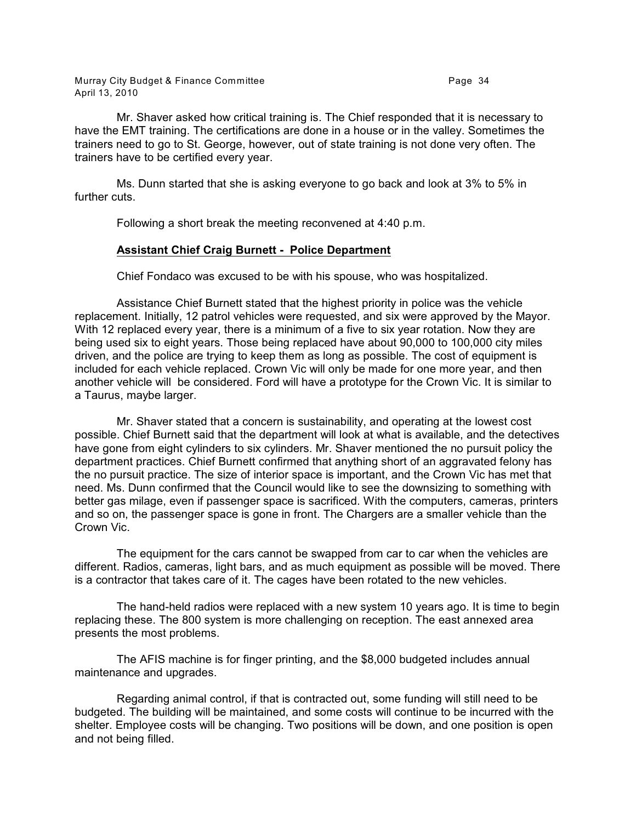Mr. Shaver asked how critical training is. The Chief responded that it is necessary to have the EMT training. The certifications are done in a house or in the valley. Sometimes the trainers need to go to St. George, however, out of state training is not done very often. The trainers have to be certified every year.

Ms. Dunn started that she is asking everyone to go back and look at 3% to 5% in further cuts.

Following a short break the meeting reconvened at 4:40 p.m.

# **Assistant Chief Craig Burnett - Police Department**

Chief Fondaco was excused to be with his spouse, who was hospitalized.

Assistance Chief Burnett stated that the highest priority in police was the vehicle replacement. Initially, 12 patrol vehicles were requested, and six were approved by the Mayor. With 12 replaced every year, there is a minimum of a five to six year rotation. Now they are being used six to eight years. Those being replaced have about 90,000 to 100,000 city miles driven, and the police are trying to keep them as long as possible. The cost of equipment is included for each vehicle replaced. Crown Vic will only be made for one more year, and then another vehicle will be considered. Ford will have a prototype for the Crown Vic. It is similar to a Taurus, maybe larger.

Mr. Shaver stated that a concern is sustainability, and operating at the lowest cost possible. Chief Burnett said that the department will look at what is available, and the detectives have gone from eight cylinders to six cylinders. Mr. Shaver mentioned the no pursuit policy the department practices. Chief Burnett confirmed that anything short of an aggravated felony has the no pursuit practice. The size of interior space is important, and the Crown Vic has met that need. Ms. Dunn confirmed that the Council would like to see the downsizing to something with better gas milage, even if passenger space is sacrificed. With the computers, cameras, printers and so on, the passenger space is gone in front. The Chargers are a smaller vehicle than the Crown Vic.

The equipment for the cars cannot be swapped from car to car when the vehicles are different. Radios, cameras, light bars, and as much equipment as possible will be moved. There is a contractor that takes care of it. The cages have been rotated to the new vehicles.

The hand-held radios were replaced with a new system 10 years ago. It is time to begin replacing these. The 800 system is more challenging on reception. The east annexed area presents the most problems.

The AFIS machine is for finger printing, and the \$8,000 budgeted includes annual maintenance and upgrades.

Regarding animal control, if that is contracted out, some funding will still need to be budgeted. The building will be maintained, and some costs will continue to be incurred with the shelter. Employee costs will be changing. Two positions will be down, and one position is open and not being filled.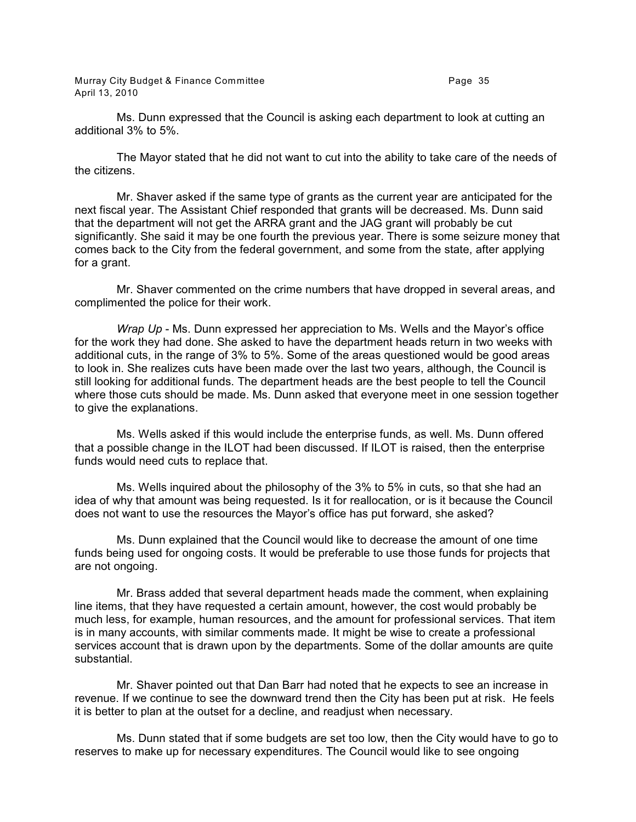Murray City Budget & Finance Committee **Page 35** Page 35 April 13, 2010

Ms. Dunn expressed that the Council is asking each department to look at cutting an additional 3% to 5%.

The Mayor stated that he did not want to cut into the ability to take care of the needs of the citizens.

Mr. Shaver asked if the same type of grants as the current year are anticipated for the next fiscal year. The Assistant Chief responded that grants will be decreased. Ms. Dunn said that the department will not get the ARRA grant and the JAG grant will probably be cut significantly. She said it may be one fourth the previous year. There is some seizure money that comes back to the City from the federal government, and some from the state, after applying for a grant.

Mr. Shaver commented on the crime numbers that have dropped in several areas, and complimented the police for their work.

*Wrap Up* - Ms. Dunn expressed her appreciation to Ms. Wells and the Mayor's office for the work they had done. She asked to have the department heads return in two weeks with additional cuts, in the range of 3% to 5%. Some of the areas questioned would be good areas to look in. She realizes cuts have been made over the last two years, although, the Council is still looking for additional funds. The department heads are the best people to tell the Council where those cuts should be made. Ms. Dunn asked that everyone meet in one session together to give the explanations.

Ms. Wells asked if this would include the enterprise funds, as well. Ms. Dunn offered that a possible change in the ILOT had been discussed. If ILOT is raised, then the enterprise funds would need cuts to replace that.

Ms. Wells inquired about the philosophy of the 3% to 5% in cuts, so that she had an idea of why that amount was being requested. Is it for reallocation, or is it because the Council does not want to use the resources the Mayor's office has put forward, she asked?

Ms. Dunn explained that the Council would like to decrease the amount of one time funds being used for ongoing costs. It would be preferable to use those funds for projects that are not ongoing.

Mr. Brass added that several department heads made the comment, when explaining line items, that they have requested a certain amount, however, the cost would probably be much less, for example, human resources, and the amount for professional services. That item is in many accounts, with similar comments made. It might be wise to create a professional services account that is drawn upon by the departments. Some of the dollar amounts are quite substantial.

Mr. Shaver pointed out that Dan Barr had noted that he expects to see an increase in revenue. If we continue to see the downward trend then the City has been put at risk. He feels it is better to plan at the outset for a decline, and readjust when necessary.

Ms. Dunn stated that if some budgets are set too low, then the City would have to go to reserves to make up for necessary expenditures. The Council would like to see ongoing